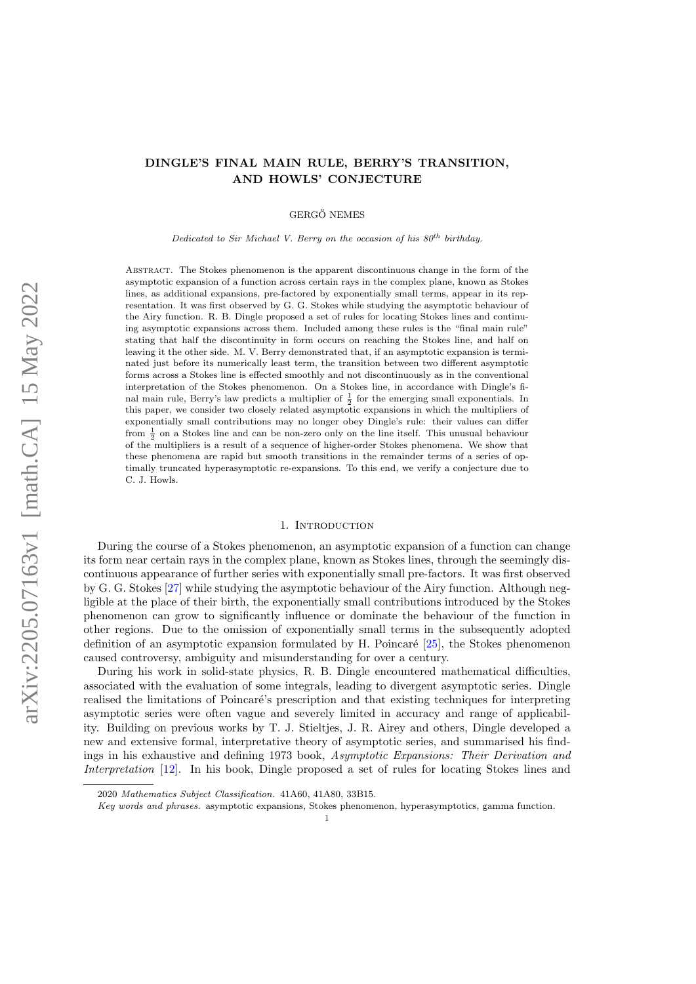# DINGLE'S FINAL MAIN RULE, BERRY'S TRANSITION, AND HOWLS' CONJECTURE

**GERGŐ NEMES** 

Dedicated to Sir Michael V. Berry on the occasion of his  $80^{th}$  birthday.

Abstract. The Stokes phenomenon is the apparent discontinuous change in the form of the asymptotic expansion of a function across certain rays in the complex plane, known as Stokes lines, as additional expansions, pre-factored by exponentially small terms, appear in its representation. It was first observed by G. G. Stokes while studying the asymptotic behaviour of the Airy function. R. B. Dingle proposed a set of rules for locating Stokes lines and continuing asymptotic expansions across them. Included among these rules is the "final main rule" stating that half the discontinuity in form occurs on reaching the Stokes line, and half on leaving it the other side. M. V. Berry demonstrated that, if an asymptotic expansion is terminated just before its numerically least term, the transition between two different asymptotic forms across a Stokes line is effected smoothly and not discontinuously as in the conventional interpretation of the Stokes phenomenon. On a Stokes line, in accordance with Dingle's final main rule, Berry's law predicts a multiplier of  $\frac{1}{2}$  for the emerging small exponentials. In this paper, we consider two closely related asymptotic expansions in which the multipliers of exponentially small contributions may no longer obey Dingle's rule: their values can differ from  $\frac{1}{2}$  on a Stokes line and can be non-zero only on the line itself. This unusual behaviour of the multipliers is a result of a sequence of higher-order Stokes phenomena. We show that these phenomena are rapid but smooth transitions in the remainder terms of a series of optimally truncated hyperasymptotic re-expansions. To this end, we verify a conjecture due to C. J. Howls.

#### 1. INTRODUCTION

During the course of a Stokes phenomenon, an asymptotic expansion of a function can change its form near certain rays in the complex plane, known as Stokes lines, through the seemingly discontinuous appearance of further series with exponentially small pre-factors. It was first observed by G. G. Stokes [\[27\]](#page-22-0) while studying the asymptotic behaviour of the Airy function. Although negligible at the place of their birth, the exponentially small contributions introduced by the Stokes phenomenon can grow to significantly influence or dominate the behaviour of the function in other regions. Due to the omission of exponentially small terms in the subsequently adopted definition of an asymptotic expansion formulated by H. Poincaré  $[25]$ , the Stokes phenomenon caused controversy, ambiguity and misunderstanding for over a century.

During his work in solid-state physics, R. B. Dingle encountered mathematical difficulties, associated with the evaluation of some integrals, leading to divergent asymptotic series. Dingle realised the limitations of Poincaré's prescription and that existing techniques for interpreting asymptotic series were often vague and severely limited in accuracy and range of applicability. Building on previous works by T. J. Stieltjes, J. R. Airey and others, Dingle developed a new and extensive formal, interpretative theory of asymptotic series, and summarised his findings in his exhaustive and defining 1973 book, Asymptotic Expansions: Their Derivation and Interpretation [\[12\]](#page-21-0). In his book, Dingle proposed a set of rules for locating Stokes lines and

<sup>2020</sup> Mathematics Subject Classification. 41A60, 41A80, 33B15.

Key words and phrases. asymptotic expansions, Stokes phenomenon, hyperasymptotics, gamma function.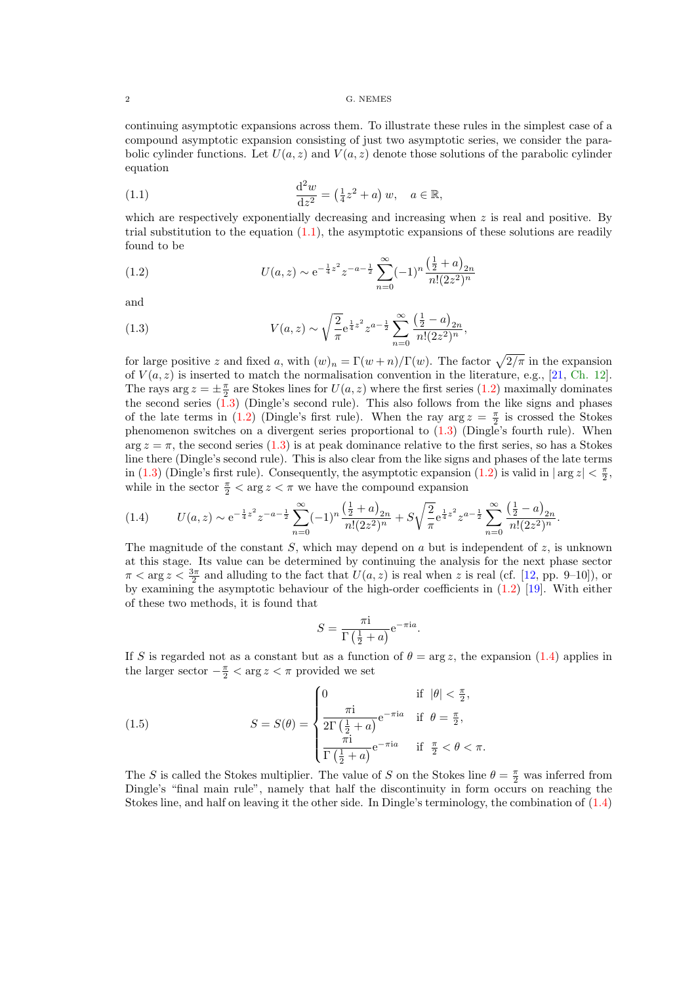<span id="page-1-0"></span>continuing asymptotic expansions across them. To illustrate these rules in the simplest case of a compound asymptotic expansion consisting of just two asymptotic series, we consider the parabolic cylinder functions. Let  $U(a, z)$  and  $V(a, z)$  denote those solutions of the parabolic cylinder equation

(1.1) 
$$
\frac{d^2w}{dz^2} = (\frac{1}{4}z^2 + a) w, \quad a \in \mathbb{R},
$$

which are respectively exponentially decreasing and increasing when  $z$  is real and positive. By trial substitution to the equation  $(1.1)$ , the asymptotic expansions of these solutions are readily found to be

(1.2) 
$$
U(a, z) \sim e^{-\frac{1}{4}z^2} z^{-a-\frac{1}{2}} \sum_{n=0}^{\infty} (-1)^n \frac{\left(\frac{1}{2} + a\right)_{2n}}{n!(2z^2)^n}
$$

and

(1.3) 
$$
V(a,z) \sim \sqrt{\frac{2}{\pi}} e^{\frac{1}{4}z^2} z^{a-\frac{1}{2}} \sum_{n=0}^{\infty} \frac{\left(\frac{1}{2} - a\right)_{2n}}{n!(2z^2)^n},
$$

for large positive z and fixed a, with  $(w)_n = \Gamma(w+n)/\Gamma(w)$ . The factor  $\sqrt{2/\pi}$  in the expansion of  $V(a, z)$  is inserted to match the normalisation convention in the literature, e.g., [\[21,](#page-22-0) [Ch. 12\]](https://dlmf.nist.gov/12). The rays arg  $z = \pm \frac{\pi}{2}$  are Stokes lines for  $U(a, z)$  where the first series (1.2) maximally dominates the second series (1.3) (Dingle's second rule). This also follows from the like signs and phases of the late terms in (1.2) (Dingle's first rule). When the ray  $\arg z = \frac{\pi}{2}$  is crossed the Stokes phenomenon switches on a divergent series proportional to (1.3) (Dingle's fourth rule). When  $\arg z = \pi$ , the second series (1.3) is at peak dominance relative to the first series, so has a Stokes line there (Dingle's second rule). This is also clear from the like signs and phases of the late terms in (1.3) (Dingle's first rule). Consequently, the asymptotic expansion (1.2) is valid in  $|\arg z| < \frac{\pi}{2}$ , while in the sector  $\frac{\pi}{2} < \arg z < \pi$  we have the compound expansion

$$
(1.4) \qquad U(a,z) \sim e^{-\frac{1}{4}z^2} z^{-a-\frac{1}{2}} \sum_{n=0}^{\infty} (-1)^n \frac{\left(\frac{1}{2}+a\right)_{2n}}{n!(2z^2)^n} + S \sqrt{\frac{2}{\pi}} e^{\frac{1}{4}z^2} z^{a-\frac{1}{2}} \sum_{n=0}^{\infty} \frac{\left(\frac{1}{2}-a\right)_{2n}}{n!(2z^2)^n}.
$$

The magnitude of the constant S, which may depend on a but is independent of z, is unknown at this stage. Its value can be determined by continuing the analysis for the next phase sector  $\pi < \arg z < \frac{3\pi}{2}$  and alluding to the fact that  $U(a, z)$  is real when z is real (cf. [\[12,](#page-21-0) pp. 9–10]), or by examining the asymptotic behaviour of the high-order coefficients in (1.2) [\[19\]](#page-22-0). With either of these two methods, it is found that

$$
S = \frac{\pi i}{\Gamma(\frac{1}{2} + a)} e^{-\pi i a}.
$$

If S is regarded not as a constant but as a function of  $\theta = \arg z$ , the expansion (1.4) applies in the larger sector  $-\frac{\pi}{2} < \arg z < \pi$  provided we set

(1.5) 
$$
S = S(\theta) = \begin{cases} 0 & \text{if } |\theta| < \frac{\pi}{2}, \\ \frac{\pi i}{2\Gamma(\frac{1}{2} + a)} e^{-\pi i a} & \text{if } \theta = \frac{\pi}{2}, \\ \frac{\pi i}{\Gamma(\frac{1}{2} + a)} e^{-\pi i a} & \text{if } \frac{\pi}{2} < \theta < \pi. \end{cases}
$$

The S is called the Stokes multiplier. The value of S on the Stokes line  $\theta = \frac{\pi}{2}$  was inferred from Dingle's "final main rule", namely that half the discontinuity in form occurs on reaching the Stokes line, and half on leaving it the other side. In Dingle's terminology, the combination of (1.4)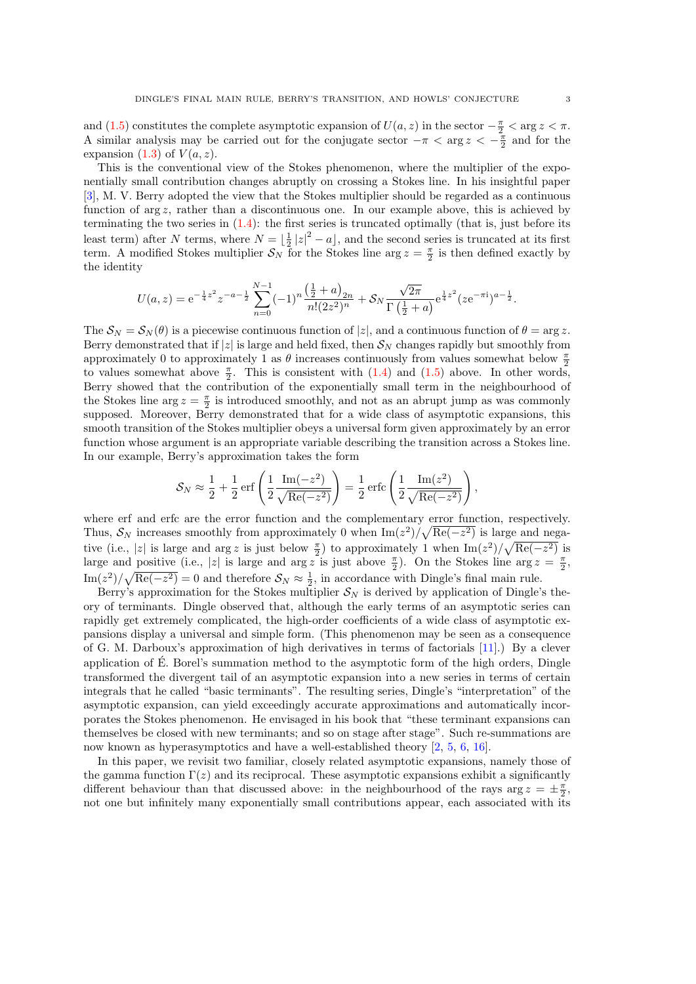and [\(1.5\)](#page-1-0) constitutes the complete asymptotic expansion of  $U(a, z)$  in the sector  $-\frac{\pi}{2} < \arg z < \pi$ . A similar analysis may be carried out for the conjugate sector  $-\pi < \arg z < -\frac{\pi}{2}$  and for the expansion  $(1.3)$  of  $V(a, z)$ .

This is the conventional view of the Stokes phenomenon, where the multiplier of the exponentially small contribution changes abruptly on crossing a Stokes line. In his insightful paper [\[3\]](#page-21-0), M. V. Berry adopted the view that the Stokes multiplier should be regarded as a continuous function of arg z, rather than a discontinuous one. In our example above, this is achieved by terminating the two series in [\(1.4\)](#page-1-0): the first series is truncated optimally (that is, just before its least term) after N terms, where  $N = \lfloor \frac{1}{2} |z|^2 - a \rfloor$ , and the second series is truncated at its first term. A modified Stokes multiplier  $S_N$  for the Stokes line arg  $z = \frac{\pi}{2}$  is then defined exactly by the identity

$$
U(a,z) = e^{-\frac{1}{4}z^2}z^{-a-\frac{1}{2}}\sum_{n=0}^{N-1}(-1)^n\frac{\left(\frac{1}{2}+a\right)_{2n}}{n!(2z^2)^n} + \mathcal{S}_N\frac{\sqrt{2\pi}}{\Gamma\left(\frac{1}{2}+a\right)}e^{\frac{1}{4}z^2}(ze^{-\pi i})^{a-\frac{1}{2}}.
$$

The  $S_N = S_N(\theta)$  is a piecewise continuous function of  $|z|$ , and a continuous function of  $\theta = \arg z$ . Berry demonstrated that if |z| is large and held fixed, then  $S_N$  changes rapidly but smoothly from approximately 0 to approximately 1 as  $\theta$  increases continuously from values somewhat below  $\frac{\pi}{2}$ to values somewhat above  $\frac{\pi}{2}$ . This is consistent with [\(1.4\)](#page-1-0) and [\(1.5\)](#page-1-0) above. In other words, Berry showed that the contribution of the exponentially small term in the neighbourhood of the Stokes line  $\arg z = \frac{\pi}{2}$  is introduced smoothly, and not as an abrupt jump as was commonly supposed. Moreover, Berry demonstrated that for a wide class of asymptotic expansions, this smooth transition of the Stokes multiplier obeys a universal form given approximately by an error function whose argument is an appropriate variable describing the transition across a Stokes line. In our example, Berry's approximation takes the form

$$
S_N \approx \frac{1}{2} + \frac{1}{2} \operatorname{erf}\left(\frac{1}{2} \frac{\operatorname{Im}(-z^2)}{\sqrt{\operatorname{Re}(-z^2)}}\right) = \frac{1}{2} \operatorname{erfc}\left(\frac{1}{2} \frac{\operatorname{Im}(z^2)}{\sqrt{\operatorname{Re}(-z^2)}}\right)
$$

,

where erf and erfc are the error function and the complementary error function, respectively. Thus,  $S_N$  increases smoothly from approximately 0 when  $\text{Im}(z^2)/\sqrt{\text{Re}(-z^2)}$  is large and negative (i.e., |z| is large and  $\arg z$  is just below  $\frac{\pi}{2}$ ) to approximately 1 when  $\text{Im}(z^2)/\sqrt{\text{Re}(-z^2)}$  is large and positive (i.e., |z| is large and  $\arg z$  is just above  $\frac{\pi}{2}$ ). On the Stokes line  $\arg z = \frac{\pi}{2}$ ,  $\text{Im}(z^2)/\sqrt{\text{Re}(-z^2)} = 0$  and therefore  $\mathcal{S}_N \approx \frac{1}{2}$ , in accordance with Dingle's final main rule.

Berry's approximation for the Stokes multiplier  $\mathcal{S}_N$  is derived by application of Dingle's theory of terminants. Dingle observed that, although the early terms of an asymptotic series can rapidly get extremely complicated, the high-order coefficients of a wide class of asymptotic expansions display a universal and simple form. (This phenomenon may be seen as a consequence of G. M. Darboux's approximation of high derivatives in terms of factorials [\[11\]](#page-21-0).) By a clever application of  $\hat{E}$ . Borel's summation method to the asymptotic form of the high orders, Dingle transformed the divergent tail of an asymptotic expansion into a new series in terms of certain integrals that he called "basic terminants". The resulting series, Dingle's "interpretation" of the asymptotic expansion, can yield exceedingly accurate approximations and automatically incorporates the Stokes phenomenon. He envisaged in his book that "these terminant expansions can themselves be closed with new terminants; and so on stage after stage". Such re-summations are now known as hyperasymptotics and have a well-established theory [\[2,](#page-21-0) [5,](#page-21-0) [6,](#page-21-0) [16\]](#page-21-0).

In this paper, we revisit two familiar, closely related asymptotic expansions, namely those of the gamma function  $\Gamma(z)$  and its reciprocal. These asymptotic expansions exhibit a significantly different behaviour than that discussed above: in the neighbourhood of the rays  $\arg z = \pm \frac{\pi}{2}$ , not one but infinitely many exponentially small contributions appear, each associated with its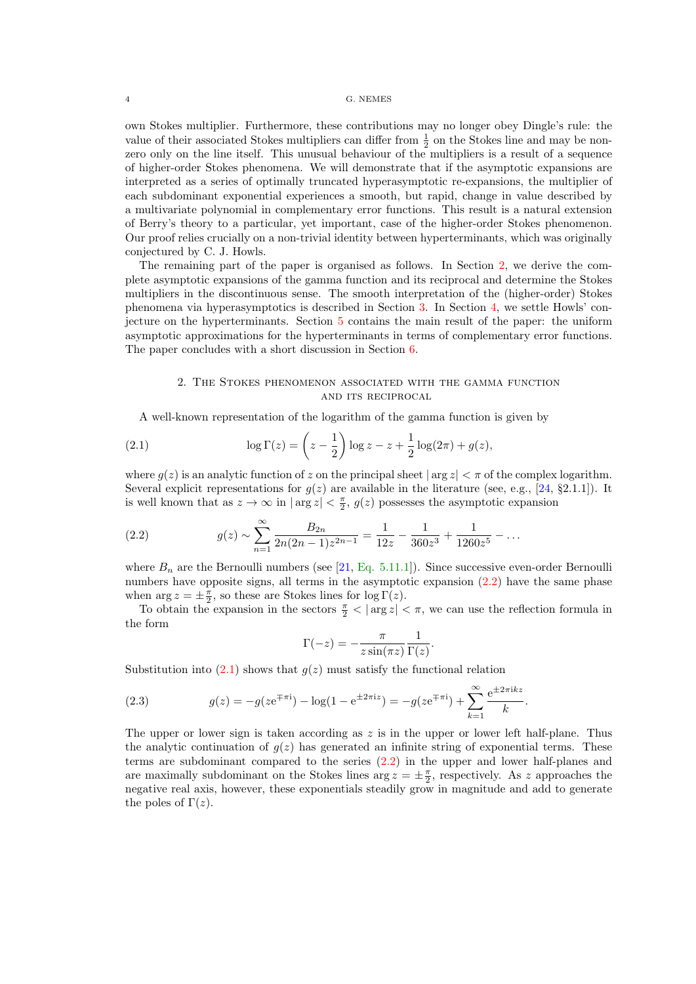<span id="page-3-0"></span>own Stokes multiplier. Furthermore, these contributions may no longer obey Dingle's rule: the value of their associated Stokes multipliers can differ from  $\frac{1}{2}$  on the Stokes line and may be nonzero only on the line itself. This unusual behaviour of the multipliers is a result of a sequence of higher-order Stokes phenomena. We will demonstrate that if the asymptotic expansions are interpreted as a series of optimally truncated hyperasymptotic re-expansions, the multiplier of each subdominant exponential experiences a smooth, but rapid, change in value described by a multivariate polynomial in complementary error functions. This result is a natural extension of Berry's theory to a particular, yet important, case of the higher-order Stokes phenomenon. Our proof relies crucially on a non-trivial identity between hyperterminants, which was originally conjectured by C. J. Howls.

The remaining part of the paper is organised as follows. In Section 2, we derive the complete asymptotic expansions of the gamma function and its reciprocal and determine the Stokes multipliers in the discontinuous sense. The smooth interpretation of the (higher-order) Stokes phenomena via hyperasymptotics is described in Section [3.](#page-6-0) In Section [4,](#page-12-0) we settle Howls' conjecture on the hyperterminants. Section [5](#page-14-0) contains the main result of the paper: the uniform asymptotic approximations for the hyperterminants in terms of complementary error functions. The paper concludes with a short discussion in Section [6.](#page-20-0)

## 2. The Stokes phenomenon associated with the gamma function and its reciprocal

A well-known representation of the logarithm of the gamma function is given by

(2.1) 
$$
\log \Gamma(z) = \left(z - \frac{1}{2}\right) \log z - z + \frac{1}{2} \log(2\pi) + g(z),
$$

where  $g(z)$  is an analytic function of z on the principal sheet  $|\arg z| < \pi$  of the complex logarithm. Several explicit representations for  $g(z)$  are available in the literature (see, e.g., [\[24,](#page-22-0) §2.1.1]). It is well known that as  $z \to \infty$  in  $|\arg z| < \frac{\pi}{2}$ ,  $g(z)$  possesses the asymptotic expansion

(2.2) 
$$
g(z) \sim \sum_{n=1}^{\infty} \frac{B_{2n}}{2n(2n-1)z^{2n-1}} = \frac{1}{12z} - \frac{1}{360z^3} + \frac{1}{1260z^5} - \dots
$$

where  $B_n$  are the Bernoulli numbers (see [\[21,](#page-22-0) [Eq. 5.11.1\]](https://dlmf.nist.gov/5.11.E1)). Since successive even-order Bernoulli numbers have opposite signs, all terms in the asymptotic expansion  $(2.2)$  have the same phase when  $\arg z = \pm \frac{\pi}{2}$ , so these are Stokes lines for  $\log \Gamma(z)$ .

To obtain the expansion in the sectors  $\frac{\pi}{2} < |\arg z| < \pi$ , we can use the reflection formula in the form

$$
\Gamma(-z) = -\frac{\pi}{z \sin(\pi z)} \frac{1}{\Gamma(z)}.
$$

Substitution into  $(2.1)$  shows that  $q(z)$  must satisfy the functional relation

(2.3) 
$$
g(z) = -g(ze^{\mp \pi i}) - \log(1 - e^{\pm 2\pi i z}) = -g(ze^{\mp \pi i}) + \sum_{k=1}^{\infty} \frac{e^{\pm 2\pi i kz}}{k}.
$$

The upper or lower sign is taken according as  $z$  is in the upper or lower left half-plane. Thus the analytic continuation of  $g(z)$  has generated an infinite string of exponential terms. These terms are subdominant compared to the series (2.2) in the upper and lower half-planes and are maximally subdominant on the Stokes lines  $\arg z = \pm \frac{\pi}{2}$ , respectively. As z approaches the negative real axis, however, these exponentials steadily grow in magnitude and add to generate the poles of  $\Gamma(z)$ .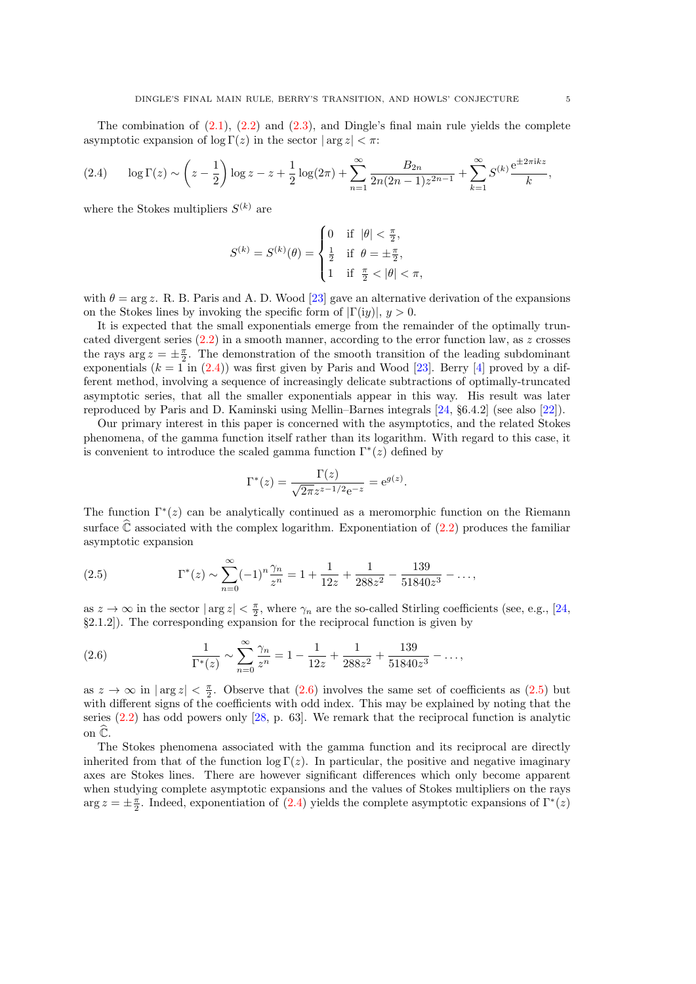<span id="page-4-0"></span>The combination of  $(2.1)$ ,  $(2.2)$  and  $(2.3)$ , and Dingle's final main rule yields the complete asymptotic expansion of  $\log \Gamma(z)$  in the sector  $|\arg z| < \pi$ :

$$
(2.4) \qquad \log \Gamma(z) \sim \left(z - \frac{1}{2}\right) \log z - z + \frac{1}{2} \log(2\pi) + \sum_{n=1}^{\infty} \frac{B_{2n}}{2n(2n-1)z^{2n-1}} + \sum_{k=1}^{\infty} S^{(k)} \frac{e^{\pm 2\pi i k z}}{k},
$$

where the Stokes multipliers  $S^{(k)}$  are

$$
S^{(k)} = S^{(k)}(\theta) = \begin{cases} 0 & \text{if } |\theta| < \frac{\pi}{2}, \\ \frac{1}{2} & \text{if } \theta = \pm \frac{\pi}{2}, \\ 1 & \text{if } \frac{\pi}{2} < |\theta| < \pi, \end{cases}
$$

with  $\theta = \arg z$ . R. B. Paris and A. D. Wood [\[23\]](#page-22-0) gave an alternative derivation of the expansions on the Stokes lines by invoking the specific form of  $|\Gamma(iy)|, y > 0$ .

It is expected that the small exponentials emerge from the remainder of the optimally truncated divergent series  $(2.2)$  in a smooth manner, according to the error function law, as z crosses the rays  $\arg z = \pm \frac{\pi}{2}$ . The demonstration of the smooth transition of the leading subdominant exponentials  $(k = 1$  in  $(2.4)$ ) was first given by Paris and Wood [\[23\]](#page-22-0). Berry [\[4\]](#page-21-0) proved by a different method, involving a sequence of increasingly delicate subtractions of optimally-truncated asymptotic series, that all the smaller exponentials appear in this way. His result was later reproduced by Paris and D. Kaminski using Mellin–Barnes integrals [\[24,](#page-22-0) §6.4.2] (see also [\[22\]](#page-22-0)).

Our primary interest in this paper is concerned with the asymptotics, and the related Stokes phenomena, of the gamma function itself rather than its logarithm. With regard to this case, it is convenient to introduce the scaled gamma function  $\Gamma^*(z)$  defined by

$$
\Gamma^*(z) = \frac{\Gamma(z)}{\sqrt{2\pi}z^{z-1/2}e^{-z}} = e^{g(z)}.
$$

The function  $\Gamma^*(z)$  can be analytically continued as a meromorphic function on the Riemann surface  $\mathbb C$  associated with the complex logarithm. Exponentiation of [\(2.2\)](#page-3-0) produces the familiar asymptotic expansion

(2.5) 
$$
\Gamma^*(z) \sim \sum_{n=0}^{\infty} (-1)^n \frac{\gamma_n}{z^n} = 1 + \frac{1}{12z} + \frac{1}{288z^2} - \frac{139}{51840z^3} - \dots,
$$

as  $z \to \infty$  in the sector  $|\arg z| < \frac{\pi}{2}$ , where  $\gamma_n$  are the so-called Stirling coefficients (see, e.g., [\[24,](#page-22-0) §2.1.2]). The corresponding expansion for the reciprocal function is given by

(2.6) 
$$
\frac{1}{\Gamma^*(z)} \sim \sum_{n=0}^{\infty} \frac{\gamma_n}{z^n} = 1 - \frac{1}{12z} + \frac{1}{288z^2} + \frac{139}{51840z^3} - \dots,
$$

as  $z \to \infty$  in  $|\arg z| < \frac{\pi}{2}$ . Observe that  $(2.6)$  involves the same set of coefficients as  $(2.5)$  but with different signs of the coefficients with odd index. This may be explained by noting that the series  $(2.2)$  has odd powers only [\[28,](#page-22-0) p. 63]. We remark that the reciprocal function is analytic on  $\widehat{\mathbb{C}}$ .

The Stokes phenomena associated with the gamma function and its reciprocal are directly inherited from that of the function  $\log \Gamma(z)$ . In particular, the positive and negative imaginary axes are Stokes lines. There are however significant differences which only become apparent when studying complete asymptotic expansions and the values of Stokes multipliers on the rays  $\arg z = \pm \frac{\pi}{2}$ . Indeed, exponentiation of (2.4) yields the complete asymptotic expansions of  $\Gamma^*(z)$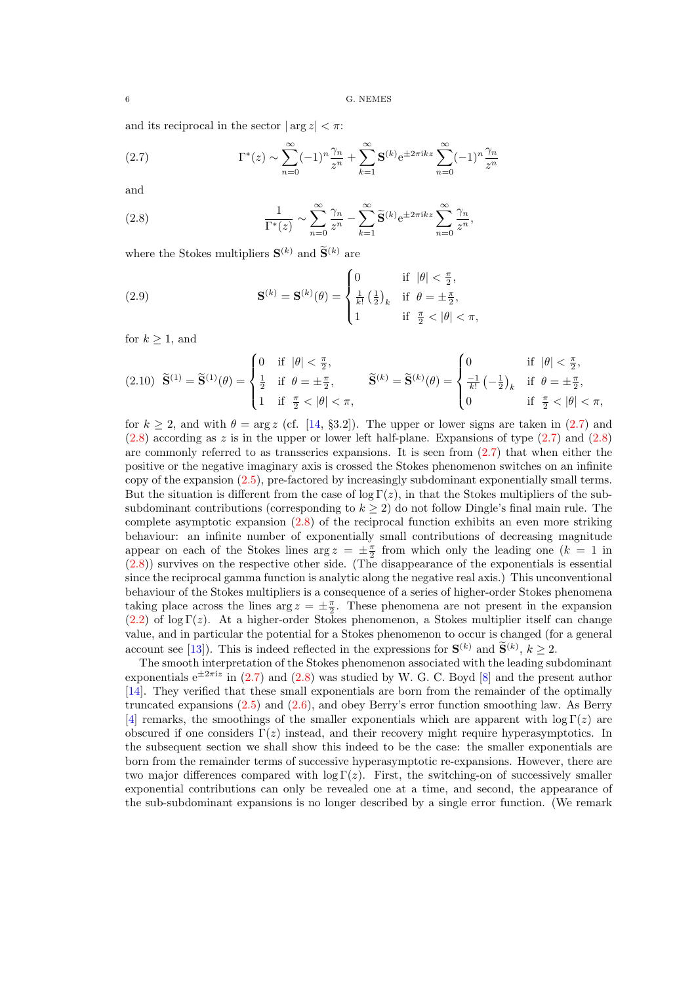<span id="page-5-0"></span>and its reciprocal in the sector  $|\arg z| < \pi$ :

(2.7) 
$$
\Gamma^*(z) \sim \sum_{n=0}^{\infty} (-1)^n \frac{\gamma_n}{z^n} + \sum_{k=1}^{\infty} \mathbf{S}^{(k)} e^{\pm 2\pi i k z} \sum_{n=0}^{\infty} (-1)^n \frac{\gamma_n}{z^n}
$$

and

(2.8) 
$$
\frac{1}{\Gamma^*(z)} \sim \sum_{n=0}^{\infty} \frac{\gamma_n}{z^n} - \sum_{k=1}^{\infty} \widetilde{\mathbf{S}}^{(k)} e^{\pm 2\pi i k z} \sum_{n=0}^{\infty} \frac{\gamma_n}{z^n},
$$

where the Stokes multipliers  $\mathbf{S}^{(k)}$  and  $\mathbf{S}^{(k)}$  are

(2.9) 
$$
\mathbf{S}^{(k)} = \mathbf{S}^{(k)}(\theta) = \begin{cases} 0 & \text{if } |\theta| < \frac{\pi}{2}, \\ \frac{1}{k!} \left(\frac{1}{2}\right)_k & \text{if } \theta = \pm \frac{\pi}{2}, \\ 1 & \text{if } \frac{\pi}{2} < |\theta| < \pi, \end{cases}
$$

for  $k \geq 1$ , and

$$
(2.10) \quad \widetilde{\mathbf{S}}^{(1)} = \widetilde{\mathbf{S}}^{(1)}(\theta) = \begin{cases} 0 & \text{if } |\theta| < \frac{\pi}{2}, \\ \frac{1}{2} & \text{if } \theta = \pm \frac{\pi}{2}, \\ 1 & \text{if } \frac{\pi}{2} < |\theta| < \pi, \end{cases} \qquad \widetilde{\mathbf{S}}^{(k)} = \widetilde{\mathbf{S}}^{(k)}(\theta) = \begin{cases} 0 & \text{if } |\theta| < \frac{\pi}{2}, \\ \frac{-1}{k!} \left(-\frac{1}{2}\right)_k & \text{if } \theta = \pm \frac{\pi}{2}, \\ 0 & \text{if } \frac{\pi}{2} < |\theta| < \pi, \end{cases}
$$

for  $k \geq 2$ , and with  $\theta = \arg z$  (cf. [\[14,](#page-21-0) §3.2]). The upper or lower signs are taken in (2.7) and  $(2.8)$  according as z is in the upper or lower left half-plane. Expansions of type  $(2.7)$  and  $(2.8)$ are commonly referred to as transseries expansions. It is seen from (2.7) that when either the positive or the negative imaginary axis is crossed the Stokes phenomenon switches on an infinite copy of the expansion [\(2.5\)](#page-4-0), pre-factored by increasingly subdominant exponentially small terms. But the situation is different from the case of  $\log \Gamma(z)$ , in that the Stokes multipliers of the subsubdominant contributions (corresponding to  $k \geq 2$ ) do not follow Dingle's final main rule. The complete asymptotic expansion (2.8) of the reciprocal function exhibits an even more striking behaviour: an infinite number of exponentially small contributions of decreasing magnitude appear on each of the Stokes lines  $\arg z = \pm \frac{\pi}{2}$  from which only the leading one  $(k = 1$  in (2.8)) survives on the respective other side. (The disappearance of the exponentials is essential since the reciprocal gamma function is analytic along the negative real axis.) This unconventional behaviour of the Stokes multipliers is a consequence of a series of higher-order Stokes phenomena taking place across the lines  $\arg z = \pm \frac{\pi}{2}$ . These phenomena are not present in the expansion [\(2.2\)](#page-3-0) of log Γ(z). At a higher-order Stokes phenomenon, a Stokes multiplier itself can change value, and in particular the potential for a Stokes phenomenon to occur is changed (for a general account see [\[13\]](#page-21-0)). This is indeed reflected in the expressions for  $S^{(k)}$  and  $\widetilde{S}^{(k)}$ ,  $k \geq 2$ .

The smooth interpretation of the Stokes phenomenon associated with the leading subdominant exponentials  $e^{\pm 2\pi i z}$  in (2.7) and (2.8) was studied by W. G. C. Boyd [\[8\]](#page-21-0) and the present author [\[14\]](#page-21-0). They verified that these small exponentials are born from the remainder of the optimally truncated expansions  $(2.5)$  and  $(2.6)$ , and obey Berry's error function smoothing law. As Berry [\[4\]](#page-21-0) remarks, the smoothings of the smaller exponentials which are apparent with  $\log \Gamma(z)$  are obscured if one considers  $\Gamma(z)$  instead, and their recovery might require hyperasymptotics. In the subsequent section we shall show this indeed to be the case: the smaller exponentials are born from the remainder terms of successive hyperasymptotic re-expansions. However, there are two major differences compared with  $\log \Gamma(z)$ . First, the switching-on of successively smaller exponential contributions can only be revealed one at a time, and second, the appearance of the sub-subdominant expansions is no longer described by a single error function. (We remark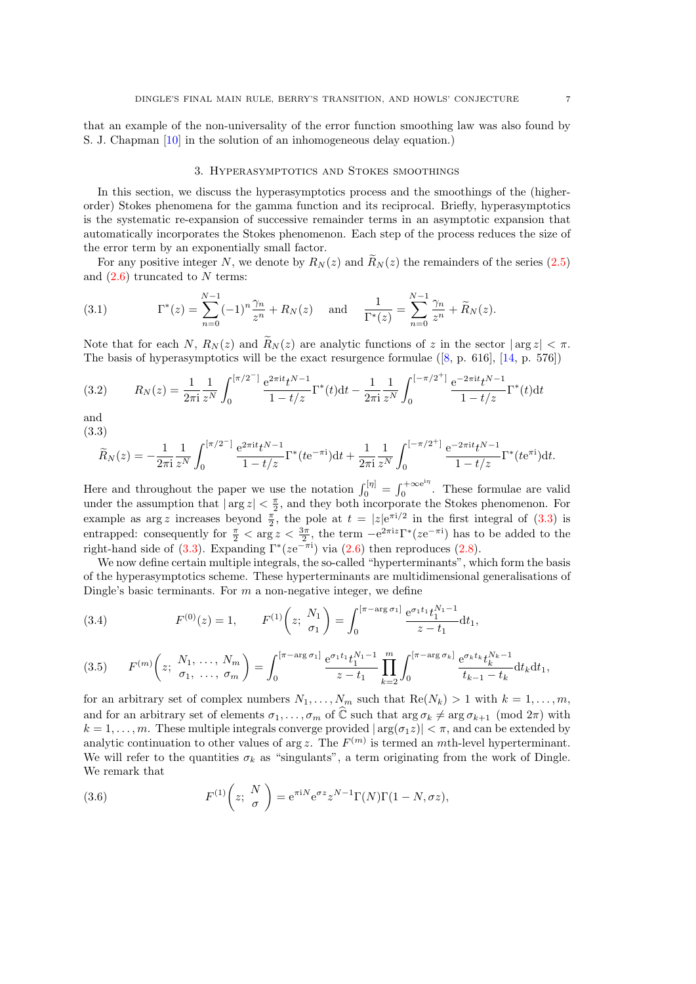<span id="page-6-0"></span>that an example of the non-universality of the error function smoothing law was also found by S. J. Chapman [\[10\]](#page-21-0) in the solution of an inhomogeneous delay equation.)

#### 3. Hyperasymptotics and Stokes smoothings

In this section, we discuss the hyperasymptotics process and the smoothings of the (higherorder) Stokes phenomena for the gamma function and its reciprocal. Briefly, hyperasymptotics is the systematic re-expansion of successive remainder terms in an asymptotic expansion that automatically incorporates the Stokes phenomenon. Each step of the process reduces the size of the error term by an exponentially small factor.

For any positive integer N, we denote by  $R_N(z)$  and  $\tilde{R}_N(z)$  the remainders of the series [\(2.5\)](#page-4-0) and  $(2.6)$  truncated to N terms:

(3.1) 
$$
\Gamma^*(z) = \sum_{n=0}^{N-1} (-1)^n \frac{\gamma_n}{z^n} + R_N(z) \text{ and } \frac{1}{\Gamma^*(z)} = \sum_{n=0}^{N-1} \frac{\gamma_n}{z^n} + \widetilde{R}_N(z).
$$

Note that for each N,  $R_N(z)$  and  $\tilde{R}_N(z)$  are analytic functions of z in the sector  $|\arg z| < \pi$ . The basis of hyperasymptotics will be the exact resurgence formulae([\[8,](#page-21-0) p. 616], [\[14,](#page-21-0) p. 576])

$$
(3.2) \qquad R_N(z) = \frac{1}{2\pi i} \frac{1}{z^N} \int_0^{\left[\pi/2^-\right]} \frac{e^{2\pi i t} t^{N-1}}{1 - t/z} \Gamma^*(t) dt - \frac{1}{2\pi i} \frac{1}{z^N} \int_0^{\left[-\pi/2^+\right]} \frac{e^{-2\pi i t} t^{N-1}}{1 - t/z} \Gamma^*(t) dt
$$

and (3.3)

$$
\widetilde{R}_N(z) = -\frac{1}{2\pi i} \frac{1}{z^N} \int_0^{[\pi/2^-]} \frac{e^{2\pi i t} t^{N-1}}{1 - t/z} \Gamma^*(t e^{-\pi i}) dt + \frac{1}{2\pi i} \frac{1}{z^N} \int_0^{[-\pi/2^+]} \frac{e^{-2\pi i t} t^{N-1}}{1 - t/z} \Gamma^*(t e^{\pi i}) dt.
$$

Here and throughout the paper we use the notation  $\int_0^{[\eta]} = \int_0^{+\infty} e^{i\eta}$  $\frac{1}{0}$ . These formulae are valid under the assumption that  $|\arg z| < \frac{\pi}{2}$ , and they both incorporate the Stokes phenomenon. For example as arg z increases beyond  $\frac{\pi}{2}$ , the pole at  $t = |z|e^{\pi i/2}$  in the first integral of (3.3) is entrapped: consequently for  $\frac{\pi}{2} < \arg z < \frac{3\pi}{2}$ , the term  $-e^{2\pi i z} \Gamma^*(ze^{-\pi i})$  has to be added to the right-hand side of (3.3). Expanding  $\Gamma^*(ze^{-\pi i})$  via [\(2.6\)](#page-4-0) then reproduces [\(2.8\)](#page-5-0).

We now define certain multiple integrals, the so-called "hyperterminants", which form the basis of the hyperasymptotics scheme. These hyperterminants are multidimensional generalisations of Dingle's basic terminants. For  $m$  a non-negative integer, we define

(3.4) 
$$
F^{(0)}(z) = 1, \qquad F^{(1)}\left(z; \frac{N_1}{\sigma_1}\right) = \int_0^{\left[\pi - \arg \sigma_1\right]} \frac{e^{\sigma_1 t_1} t_1^{N_1 - 1}}{z - t_1} dt_1,
$$

$$
(3.5) \tF^{(m)}\left(z; \frac{N_1, \ldots, N_m}{\sigma_1, \ldots, \sigma_m}\right) = \int_0^{\left[\pi - \arg \sigma_1\right]} \frac{e^{\sigma_1 t_1} t_1^{N_1 - 1}}{z - t_1} \prod_{k=2}^m \int_0^{\left[\pi - \arg \sigma_k\right]} \frac{e^{\sigma_k t_k} t_k^{N_k - 1}}{t_{k-1} - t_k} dt_k dt_1,
$$

for an arbitrary set of complex numbers  $N_1, \ldots, N_m$  such that  $\text{Re}(N_k) > 1$  with  $k = 1, \ldots, m$ , and for an arbitrary set of elements  $\sigma_1, \ldots, \sigma_m$  of  $\widehat{\mathbb{C}}$  such that  $\arg \sigma_k \neq \arg \sigma_{k+1} \pmod{2\pi}$  with  $k = 1, \ldots, m$ . These multiple integrals converge provided  $|\arg(\sigma_1 z)| < \pi$ , and can be extended by analytic continuation to other values of arg z. The  $F^{(m)}$  is termed an mth-level hyperterminant. We will refer to the quantities  $\sigma_k$  as "singulants", a term originating from the work of Dingle. We remark that

(3.6) 
$$
F^{(1)}\left(z;\ \frac{N}{\sigma}\right) = e^{\pi iN}e^{\sigma z}z^{N-1}\Gamma(N)\Gamma(1-N,\sigma z),
$$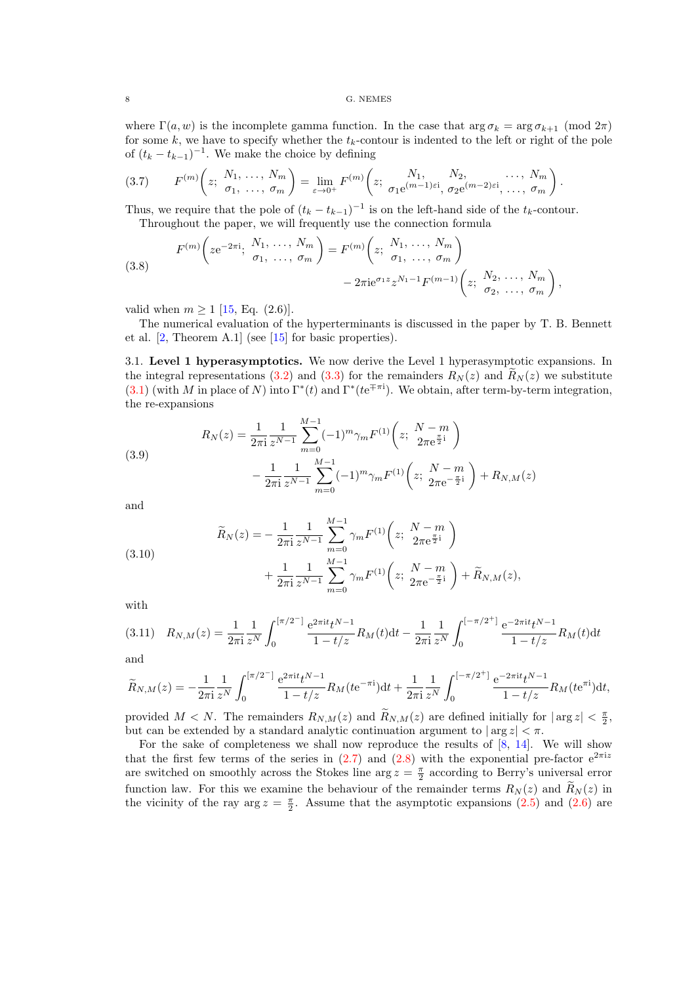<span id="page-7-0"></span>where  $\Gamma(a, w)$  is the incomplete gamma function. In the case that  $\arg \sigma_k = \arg \sigma_{k+1} \pmod{2\pi}$ for some  $k$ , we have to specify whether the  $t_k$ -contour is indented to the left or right of the pole of  $(t_k - t_{k-1})^{-1}$ . We make the choice by defining

$$
(3.7) \tF^{(m)}\left(z; \frac{N_1, \ldots, N_m}{\sigma_1, \ldots, \sigma_m}\right) = \lim_{\varepsilon \to 0^+} F^{(m)}\left(z; \frac{N_1, \ldots, N_2, \ldots, N_m}{\sigma_1 e^{(m-1)\varepsilon i}, \sigma_2 e^{(m-2)\varepsilon i}, \ldots, \sigma_m}\right).
$$

Thus, we require that the pole of  $(t_k - t_{k-1})^{-1}$  is on the left-hand side of the  $t_k$ -contour. Throughout the paper, we will frequently use the connection formula

(3.8) 
$$
F^{(m)}\left(ze^{-2\pi i}; \begin{array}{c} N_1, \ldots, N_m \\ \sigma_1, \ldots, \sigma_m \end{array}\right) = F^{(m)}\left(z; \begin{array}{c} N_1, \ldots, N_m \\ \sigma_1, \ldots, \sigma_m \end{array}\right) - 2\pi i e^{\sigma_1 z} z^{N_1 - 1} F^{(m-1)}\left(z; \begin{array}{c} N_2, \ldots, N_m \\ \sigma_2, \ldots, \sigma_m \end{array}\right),
$$

valid when  $m \ge 1$  [\[15,](#page-21-0) Eq. (2.6)].

The numerical evaluation of the hyperterminants is discussed in the paper by T. B. Bennett et al. [\[2,](#page-21-0) Theorem A.1] (see [\[15\]](#page-21-0) for basic properties).

3.1. Level 1 hyperasymptotics. We now derive the Level 1 hyperasymptotic expansions. In the integral representations [\(3.2\)](#page-6-0) and [\(3.3\)](#page-6-0) for the remainders  $R_N(z)$  and  $R_N(z)$  we substitute [\(3.1\)](#page-6-0) (with M in place of N) into  $\Gamma^*(t)$  and  $\Gamma^*(te^{\mp \pi i})$ . We obtain, after term-by-term integration, the re-expansions

(3.9)  

$$
R_N(z) = \frac{1}{2\pi i} \frac{1}{z^{N-1}} \sum_{m=0}^{M-1} (-1)^m \gamma_m F^{(1)} \left(z; \frac{N-m}{2\pi e^{\frac{\pi}{2}i}}\right)
$$

$$
- \frac{1}{2\pi i} \frac{1}{z^{N-1}} \sum_{m=0}^{M-1} (-1)^m \gamma_m F^{(1)} \left(z; \frac{N-m}{2\pi e^{-\frac{\pi}{2}i}}\right) + R_{N,M}(z)
$$

and

(3.10)  

$$
\widetilde{R}_N(z) = -\frac{1}{2\pi i} \frac{1}{z^{N-1}} \sum_{m=0}^{M-1} \gamma_m F^{(1)}\left(z; \frac{N-m}{2\pi e^{\frac{\pi}{2}i}}\right) + \frac{1}{2\pi i} \frac{1}{z^{N-1}} \sum_{m=0}^{M-1} \gamma_m F^{(1)}\left(z; \frac{N-m}{2\pi e^{-\frac{\pi}{2}i}}\right) + \widetilde{R}_{N,M}(z),
$$

with

$$
(3.11) \quad R_{N,M}(z) = \frac{1}{2\pi i} \frac{1}{z^N} \int_0^{\left[\pi/2^-\right]} \frac{e^{2\pi it} t^{N-1}}{1-t/z} R_M(t) dt - \frac{1}{2\pi i} \frac{1}{z^N} \int_0^{\left[-\pi/2^+\right]} \frac{e^{-2\pi it} t^{N-1}}{1-t/z} R_M(t) dt
$$

and

$$
\widetilde{R}_{N,M}(z) = -\frac{1}{2\pi i} \frac{1}{z^N} \int_0^{[\pi/2^-]} \frac{e^{2\pi i t} t^{N-1}}{1 - t/z} R_M(t e^{-\pi i}) dt + \frac{1}{2\pi i} \frac{1}{z^N} \int_0^{[-\pi/2^+]} \frac{e^{-2\pi i t} t^{N-1}}{1 - t/z} R_M(t e^{\pi i}) dt,
$$

provided  $M < N$ . The remainders  $R_{N,M}(z)$  and  $\widetilde{R}_{N,M}(z)$  are defined initially for  $|\arg z| < \frac{\pi}{2}$ , but can be extended by a standard analytic continuation argument to  $|\arg z| < \pi$ .

For the sake of completeness we shall now reproduce the results of  $[8, 14]$  $[8, 14]$ . We will show that the first few terms of the series in  $(2.7)$  and  $(2.8)$  with the exponential pre-factor  $e^{2\pi i z}$ are switched on smoothly across the Stokes line arg  $z = \frac{\pi}{2}$  according to Berry's universal error function law. For this we examine the behaviour of the remainder terms  $R_N(z)$  and  $R_N(z)$  in the vicinity of the ray  $\arg z = \frac{\pi}{2}$ . Assume that the asymptotic expansions [\(2.5\)](#page-4-0) and [\(2.6\)](#page-4-0) are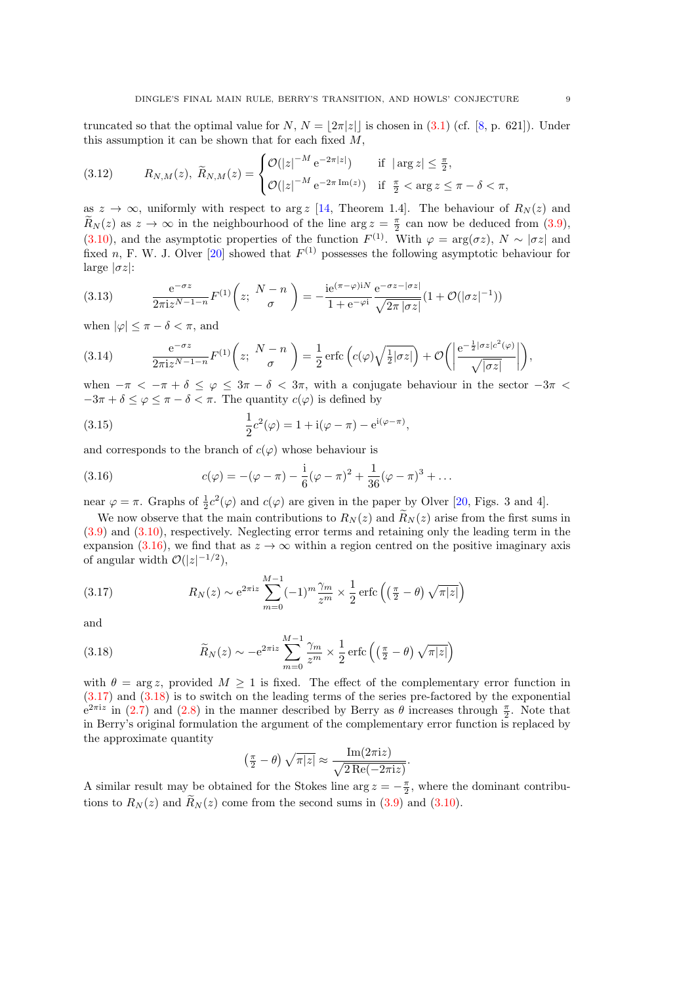<span id="page-8-0"></span>truncated so that the optimal value for N,  $N = |2\pi|z|$  is chosen in [\(3.1\)](#page-6-0) (cf. [\[8,](#page-21-0) p. 621]). Under this assumption it can be shown that for each fixed  $M$ ,

(3.12) 
$$
R_{N,M}(z), \ \widetilde{R}_{N,M}(z) = \begin{cases} \mathcal{O}(|z|^{-M} e^{-2\pi|z|}) & \text{if } |\arg z| \leq \frac{\pi}{2}, \\ \mathcal{O}(|z|^{-M} e^{-2\pi \operatorname{Im}(z)}) & \text{if } \frac{\pi}{2} < \arg z \leq \pi - \delta < \pi, \end{cases}
$$

as  $z \to \infty$ , uniformly with respect to arg z [\[14,](#page-21-0) Theorem 1.4]. The behaviour of  $R_N(z)$  and  $\widetilde{R}_N(z)$  as  $z \to \infty$  in the neighbourhood of the line  $\arg z = \frac{\pi}{2}$  can now be deduced from [\(3.9\)](#page-7-0), [\(3.10\)](#page-7-0), and the asymptotic properties of the function  $F^{(1)}$ . With  $\varphi = \arg(\sigma z)$ ,  $N \sim |\sigma z|$  and fixed n, F. W. J. Olver [\[20\]](#page-22-0) showed that  $F^{(1)}$  possesses the following asymptotic behaviour for large  $|\sigma z|$ :

(3.13) 
$$
\frac{e^{-\sigma z}}{2\pi i z^{N-1-n}} F^{(1)}\left(z; \frac{N-n}{\sigma}\right) = -\frac{i e^{(\pi-\varphi)iN}}{1+e^{-\varphi i}} \frac{e^{-\sigma z-|\sigma z|}}{\sqrt{2\pi |\sigma z|}} (1+\mathcal{O}(|\sigma z|^{-1}))
$$

when  $|\varphi| \leq \pi - \delta < \pi$ , and

(3.14) 
$$
\frac{e^{-\sigma z}}{2\pi i z^{N-1-n}} F^{(1)}\left(z; \frac{N-n}{\sigma}\right) = \frac{1}{2} \operatorname{erfc}\left(c(\varphi)\sqrt{\frac{1}{2}|\sigma z|}\right) + \mathcal{O}\left(\left|\frac{e^{-\frac{1}{2}|\sigma z|c^2(\varphi)}}{\sqrt{|\sigma z|}}\right|\right),
$$

when  $-\pi < -\pi + \delta \leq \varphi \leq 3\pi - \delta < 3\pi$ , with a conjugate behaviour in the sector  $-3\pi <$  $-3\pi + \delta \leq \varphi \leq \pi - \delta < \pi$ . The quantity  $c(\varphi)$  is defined by

(3.15) 
$$
\frac{1}{2}c^2(\varphi) = 1 + i(\varphi - \pi) - e^{i(\varphi - \pi)},
$$

and corresponds to the branch of  $c(\varphi)$  whose behaviour is

(3.16) 
$$
c(\varphi) = -(\varphi - \pi) - \frac{i}{6}(\varphi - \pi)^2 + \frac{1}{36}(\varphi - \pi)^3 + \dots
$$

near  $\varphi = \pi$ . Graphs of  $\frac{1}{2}c^2(\varphi)$  and  $c(\varphi)$  are given in the paper by Olver [\[20,](#page-22-0) Figs. 3 and 4].

We now observe that the main contributions to  $R_N(z)$  and  $\widetilde{R}_N(z)$  arise from the first sums in [\(3.9\)](#page-7-0) and [\(3.10\)](#page-7-0), respectively. Neglecting error terms and retaining only the leading term in the expansion (3.16), we find that as  $z \to \infty$  within a region centred on the positive imaginary axis of angular width  $\mathcal{O}(|z|^{-1/2}),$ 

(3.17) 
$$
R_N(z) \sim e^{2\pi i z} \sum_{m=0}^{M-1} (-1)^m \frac{\gamma_m}{z^m} \times \frac{1}{2} \operatorname{erfc}\left(\left(\frac{\pi}{2} - \theta\right) \sqrt{\pi |z|}\right)
$$

and

(3.18) 
$$
\widetilde{R}_N(z) \sim -e^{2\pi i z} \sum_{m=0}^{M-1} \frac{\gamma_m}{z^m} \times \frac{1}{2} \operatorname{erfc}\left(\left(\frac{\pi}{2} - \theta\right) \sqrt{\pi |z|}\right)
$$

with  $\theta = \arg z$ , provided  $M \ge 1$  is fixed. The effect of the complementary error function in (3.17) and (3.18) is to switch on the leading terms of the series pre-factored by the exponential  $e^{2\pi i z}$  in [\(2.7\)](#page-5-0) and [\(2.8\)](#page-5-0) in the manner described by Berry as  $\theta$  increases through  $\frac{\pi}{2}$ . Note that in Berry's original formulation the argument of the complementary error function is replaced by the approximate quantity

$$
\left(\frac{\pi}{2} - \theta\right) \sqrt{\pi |z|} \approx \frac{\operatorname{Im}(2\pi i z)}{\sqrt{2\operatorname{Re}(-2\pi i z)}}.
$$

A similar result may be obtained for the Stokes line arg  $z = -\frac{\pi}{2}$ , where the dominant contributions to  $R_N(z)$  and  $\widetilde{R}_N(z)$  come from the second sums in [\(3.9\)](#page-7-0) and [\(3.10\)](#page-7-0).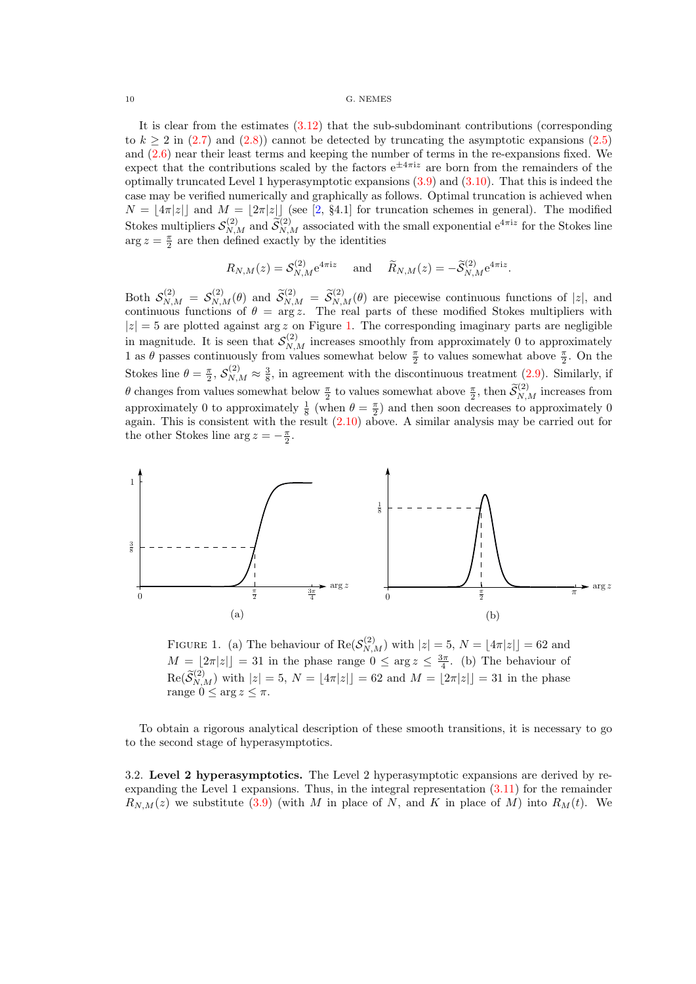It is clear from the estimates [\(3.12\)](#page-8-0) that the sub-subdominant contributions (corresponding to  $k \ge 2$  in [\(2.7\)](#page-5-0) and [\(2.8\)](#page-5-0)) cannot be detected by truncating the asymptotic expansions [\(2.5\)](#page-4-0) and [\(2.6\)](#page-4-0) near their least terms and keeping the number of terms in the re-expansions fixed. We expect that the contributions scaled by the factors  $e^{\pm 4\pi i z}$  are born from the remainders of the optimally truncated Level 1 hyperasymptotic expansions [\(3.9\)](#page-7-0) and [\(3.10\)](#page-7-0). That this is indeed the case may be verified numerically and graphically as follows. Optimal truncation is achieved when  $N = \lfloor 4\pi|z| \rfloor$  and  $M = \lfloor 2\pi|z| \rfloor$  (see [\[2,](#page-21-0) §4.1] for truncation schemes in general). The modified Stokes multipliers  $S_{N,M}^{(2)}$  and  $\widetilde{S}_{N,M}^{(2)}$  associated with the small exponential  $e^{4\pi i z}$  for the Stokes line  $\arg z = \frac{\pi}{2}$  are then defined exactly by the identities

$$
R_{N,M}(z) = S_{N,M}^{(2)} e^{4\pi i z}
$$
 and  $\widetilde{R}_{N,M}(z) = -\widetilde{S}_{N,M}^{(2)} e^{4\pi i z}$ .

Both  $S_{N,M}^{(2)} = S_{N,M}^{(2)}(\theta)$  and  $\widetilde{S}_{N,M}^{(2)} = \widetilde{S}_{N,M}^{(2)}(\theta)$  are piecewise continuous functions of |z|, and continuous functions of  $\theta = \arg z$ . The real parts of these modified Stokes multipliers with  $|z| = 5$  are plotted against arg z on Figure 1. The corresponding imaginary parts are negligible in magnitude. It is seen that  $S_{N,M}^{(2)}$  increases smoothly from approximately 0 to approximately 1 as  $\theta$  passes continuously from values somewhat below  $\frac{\pi}{2}$  to values somewhat above  $\frac{\pi}{2}$ . On the Stokes line  $\theta = \frac{\pi}{2}$ ,  $\mathcal{S}_{N,M}^{(2)} \approx \frac{3}{8}$ , in agreement with the discontinuous treatment [\(2.9\)](#page-5-0). Similarly, if  $\theta$  changes from values somewhat below  $\frac{\pi}{2}$  to values somewhat above  $\frac{\pi}{2}$ , then  $\widetilde{\mathcal{S}}_{N,M}^{(2)}$  increases from approximately 0 to approximately  $\frac{1}{8}$  (when  $\theta = \frac{\pi}{2}$ ) and then soon decreases to approximately 0 again. This is consistent with the result  $(2.10)$  above. A similar analysis may be carried out for the other Stokes line  $\arg z = -\frac{\pi}{2}$ .



FIGURE 1. (a) The behaviour of  $\text{Re}(\mathcal{S}_{N,M}^{(2)})$  with  $|z|=5$ ,  $N=\lfloor 4\pi|z|\rfloor = 62$  and  $M = \lfloor 2\pi |z| \rfloor = 31$  in the phase range  $0 \le \arg z \le \frac{3\pi}{4}$ . (b) The behaviour of  $\text{Re}(\widetilde{\mathcal{S}}_{N,M}^{(2)})$  with  $|z|=5, N = \lfloor 4\pi |z| \rfloor = 62$  and  $M = \lfloor 2\pi |z| \rfloor = 31$  in the phase range  $0 \leq \arg z \leq \pi$ .

To obtain a rigorous analytical description of these smooth transitions, it is necessary to go to the second stage of hyperasymptotics.

3.2. Level 2 hyperasymptotics. The Level 2 hyperasymptotic expansions are derived by reexpanding the Level 1 expansions. Thus, in the integral representation  $(3.11)$  for the remainder  $R_{N,M}(z)$  we substitute [\(3.9\)](#page-7-0) (with M in place of N, and K in place of M) into  $R_M(t)$ . We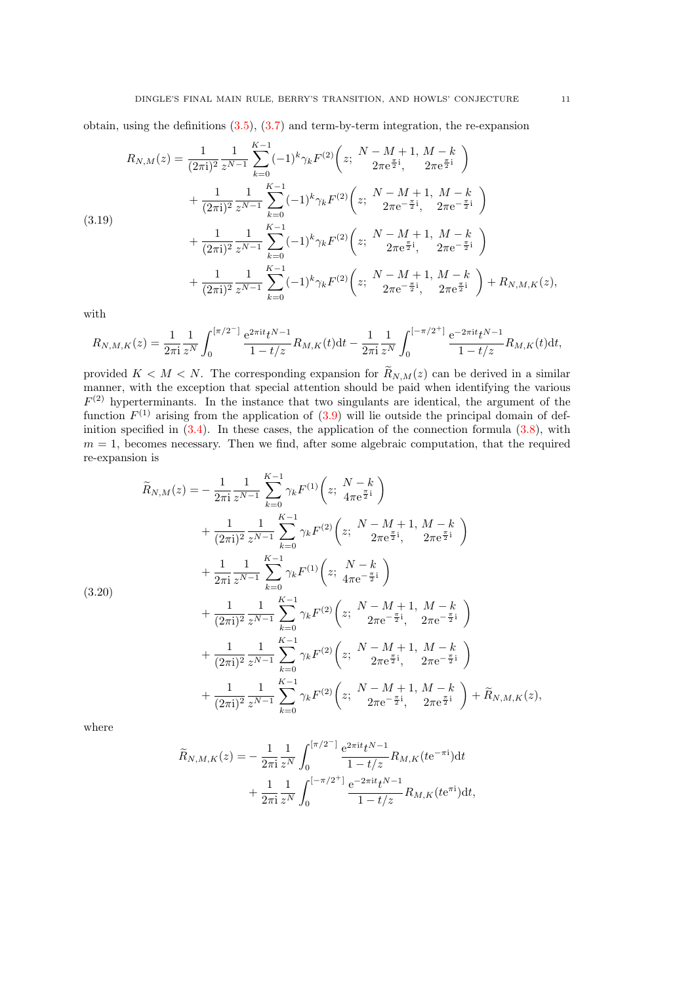<span id="page-10-0"></span>obtain, using the definitions [\(3.5\)](#page-6-0), [\(3.7\)](#page-7-0) and term-by-term integration, the re-expansion

$$
R_{N,M}(z) = \frac{1}{(2\pi i)^2} \frac{1}{z^{N-1}} \sum_{k=0}^{K-1} (-1)^k \gamma_k F^{(2)} \left(z; \frac{N-M+1}{2\pi e^{\frac{\pi}{2}i}}, \frac{M-k}{2\pi e^{\frac{\pi}{2}i}}\right) + \frac{1}{(2\pi i)^2} \frac{1}{z^{N-1}} \sum_{k=0}^{K-1} (-1)^k \gamma_k F^{(2)} \left(z; \frac{N-M+1}{2\pi e^{-\frac{\pi}{2}i}}, \frac{M-k}{2\pi e^{-\frac{\pi}{2}i}}\right) + \frac{1}{(2\pi i)^2} \frac{1}{z^{N-1}} \sum_{k=0}^{K-1} (-1)^k \gamma_k F^{(2)} \left(z; \frac{N-M+1}{2\pi e^{\frac{\pi}{2}i}}, \frac{M-k}{2\pi e^{-\frac{\pi}{2}i}}\right) + \frac{1}{(2\pi i)^2} \frac{1}{z^{N-1}} \sum_{k=0}^{K-1} (-1)^k \gamma_k F^{(2)} \left(z; \frac{N-M+1}{2\pi e^{-\frac{\pi}{2}i}}, \frac{M-k}{2\pi e^{\frac{\pi}{2}i}}\right) + R_{N,M,K}(z),
$$

with

$$
R_{N,M,K}(z) = \frac{1}{2\pi i} \frac{1}{z^N} \int_0^{\left[\pi/2^-\right]} \frac{e^{2\pi i t} t^{N-1}}{1 - t/z} R_{M,K}(t) dt - \frac{1}{2\pi i} \frac{1}{z^N} \int_0^{\left[-\pi/2^+\right]} \frac{e^{-2\pi i t} t^{N-1}}{1 - t/z} R_{M,K}(t) dt,
$$

provided  $K < M < N$ . The corresponding expansion for  $\widetilde{R}_{N,M}(z)$  can be derived in a similar manner, with the exception that special attention should be paid when identifying the various  $F<sup>(2)</sup>$  hyperterminants. In the instance that two singulants are identical, the argument of the function  $F^{(1)}$  arising from the application of  $(3.9)$  will lie outside the principal domain of definition specified in  $(3.4)$ . In these cases, the application of the connection formula  $(3.8)$ , with  $m = 1$ , becomes necessary. Then we find, after some algebraic computation, that the required re-expansion is

$$
\widetilde{R}_{N,M}(z) = -\frac{1}{2\pi i} \frac{1}{z^{N-1}} \sum_{k=0}^{K-1} \gamma_k F^{(1)} \left( z; \frac{N-k}{4\pi e^{\frac{\pi}{2}i}} \right) \n+ \frac{1}{(2\pi i)^2} \frac{1}{z^{N-1}} \sum_{k=0}^{K-1} \gamma_k F^{(2)} \left( z; \frac{N-M+1}{2\pi e^{\frac{\pi}{2}i}}, \frac{M-k}{2\pi e^{\frac{\pi}{2}i}} \right) \n+ \frac{1}{2\pi i} \frac{1}{z^{N-1}} \sum_{k=0}^{K-1} \gamma_k F^{(1)} \left( z; \frac{N-k}{4\pi e^{-\frac{\pi}{2}i}} \right) \n+ \frac{1}{(2\pi i)^2} \frac{1}{z^{N-1}} \sum_{k=0}^{K-1} \gamma_k F^{(2)} \left( z; \frac{N-M+1}{2\pi e^{-\frac{\pi}{2}i}}, \frac{M-k}{2\pi e^{-\frac{\pi}{2}i}} \right) \n+ \frac{1}{(2\pi i)^2} \frac{1}{z^{N-1}} \sum_{k=0}^{K-1} \gamma_k F^{(2)} \left( z; \frac{N-M+1}{2\pi e^{\frac{\pi}{2}i}}, \frac{M-k}{2\pi e^{-\frac{\pi}{2}i}} \right) \n+ \frac{1}{(2\pi i)^2} \frac{1}{z^{N-1}} \sum_{k=0}^{K-1} \gamma_k F^{(2)} \left( z; \frac{N-M+1}{2\pi e^{-\frac{\pi}{2}i}}, \frac{M-k}{2\pi e^{\frac{\pi}{2}i}} \right) + \widetilde{R}_{N,M,K}(z),
$$

(3.20)

where

$$
\widetilde{R}_{N,M,K}(z) = -\frac{1}{2\pi i} \frac{1}{z^N} \int_0^{[\pi/2^-]} \frac{e^{2\pi i t} t^{N-1}}{1 - t/z} R_{M,K}(t e^{-\pi i}) dt \n+ \frac{1}{2\pi i} \frac{1}{z^N} \int_0^{[-\pi/2^+]} \frac{e^{-2\pi i t} t^{N-1}}{1 - t/z} R_{M,K}(t e^{\pi i}) dt,
$$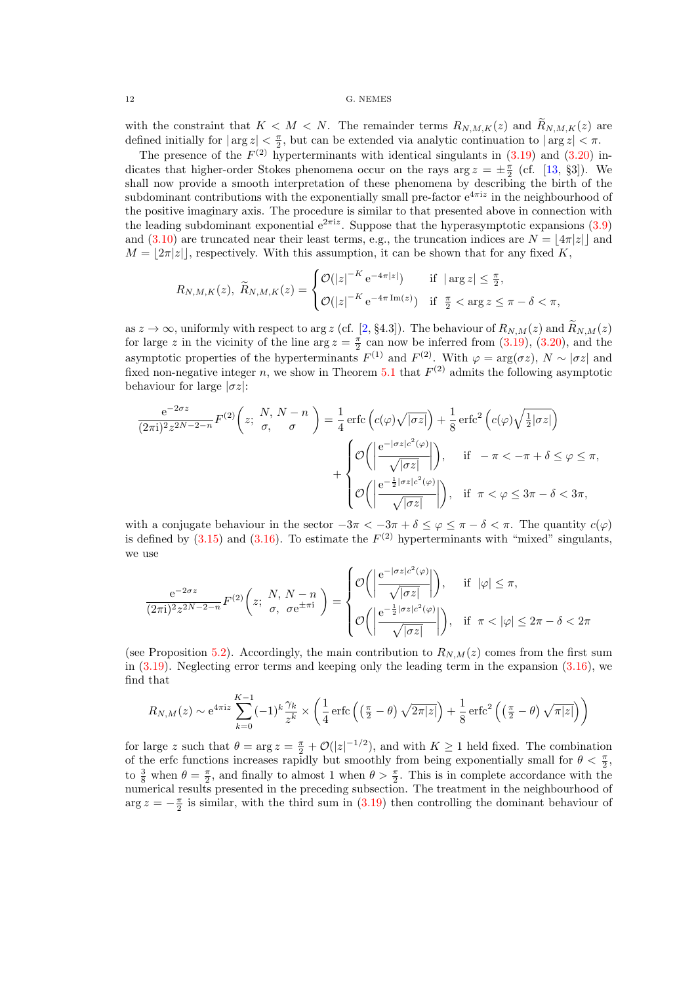with the constraint that  $K < M < N$ . The remainder terms  $R_{N,M,K}(z)$  and  $\widetilde{R}_{N,M,K}(z)$  are defined initially for  $|\arg z| < \frac{\pi}{2}$ , but can be extended via analytic continuation to  $|\arg z| < \pi$ .

The presence of the  $F^{(2)}$  hyperterminants with identical singulants in  $(3.19)$  and  $(3.20)$  indicates that higher-order Stokes phenomena occur on the rays  $\arg z = \pm \frac{\pi}{2}$  (cf. [\[13,](#page-21-0) §3]). We shall now provide a smooth interpretation of these phenomena by describing the birth of the subdominant contributions with the exponentially small pre-factor  $e^{4\pi i z}$  in the neighbourhood of the positive imaginary axis. The procedure is similar to that presented above in connection with the leading subdominant exponential  $e^{2\pi i z}$ . Suppose that the hyperasymptotic expansions  $(3.9)$ and [\(3.10\)](#page-7-0) are truncated near their least terms, e.g., the truncation indices are  $N = |4\pi|z||$  and  $M = |2\pi|z|$ , respectively. With this assumption, it can be shown that for any fixed K,

$$
R_{N,M,K}(z), \ \widetilde{R}_{N,M,K}(z) = \begin{cases} \mathcal{O}(|z|^{-K} e^{-4\pi|z|}) & \text{if } |\arg z| \le \frac{\pi}{2}, \\ \mathcal{O}(|z|^{-K} e^{-4\pi \operatorname{Im}(z)}) & \text{if } \frac{\pi}{2} < \arg z \le \pi - \delta < \pi, \end{cases}
$$

as  $z \to \infty$ , uniformly with respect to arg z (cf. [\[2,](#page-21-0) §4.3]). The behaviour of  $R_{N,M}(z)$  and  $\widetilde{R}_{N,M}(z)$ for large z in the vicinity of the line arg  $z = \frac{\pi}{2}$  can now be inferred from [\(3.19\)](#page-10-0), [\(3.20\)](#page-10-0), and the asymptotic properties of the hyperterminants  $F^{(1)}$  and  $F^{(2)}$ . With  $\varphi = \arg(\sigma z)$ ,  $N \sim |\sigma z|$  and fixed non-negative integer n, we show in Theorem [5.1](#page-14-0) that  $F<sup>(2)</sup>$  admits the following asymptotic behaviour for large  $|\sigma z|$ :

$$
\frac{e^{-2\sigma z}}{(2\pi i)^2 z^{2N-2-n}} F^{(2)}\left(z; \begin{array}{c} N, N-n \\ \sigma, \end{array}\right) = \frac{1}{4} \operatorname{erfc}\left(c(\varphi)\sqrt{|\sigma z|}\right) + \frac{1}{8} \operatorname{erfc}^2\left(c(\varphi)\sqrt{\frac{1}{2}|\sigma z|}\right)
$$

$$
+ \begin{cases} \mathcal{O}\left(\left|\frac{e^{-|\sigma z|c^2(\varphi)}}{\sqrt{|\sigma z|}}\right|\right), & \text{if } -\pi < -\pi + \delta \le \varphi \le \pi, \\ \mathcal{O}\left(\left|\frac{e^{-\frac{1}{2}|\sigma z|c^2(\varphi)}}{\sqrt{|\sigma z|}}\right|\right), & \text{if } \pi < \varphi \le 3\pi - \delta < 3\pi, \end{cases}
$$

with a conjugate behaviour in the sector  $-3\pi < -3\pi + \delta \leq \varphi \leq \pi - \delta < \pi$ . The quantity  $c(\varphi)$ is defined by  $(3.15)$  and  $(3.16)$ . To estimate the  $F<sup>(2)</sup>$  hyperterminants with "mixed" singulants, we use

$$
\frac{e^{-2\sigma z}}{(2\pi i)^2 z^{2N-2-n}} F^{(2)}\left(z; \begin{array}{c} N, N-n \\ \sigma, \sigma e^{\pm \pi i} \end{array}\right) = \begin{cases} \mathcal{O}\left(\left|\frac{e^{-|\sigma z|c^2(\varphi)}}{\sqrt{|\sigma z|}}\right|\right), & \text{if } |\varphi| \le \pi, \\ \mathcal{O}\left(\left|\frac{e^{-\frac{1}{2}|\sigma z|c^2(\varphi)}}{\sqrt{|\sigma z|}}\right|\right), & \text{if } \pi < |\varphi| \le 2\pi - \delta < 2\pi \end{cases}
$$

(see Proposition [5.2\)](#page-15-0). Accordingly, the main contribution to  $R_{N,M}(z)$  comes from the first sum in  $(3.19)$ . Neglecting error terms and keeping only the leading term in the expansion  $(3.16)$ , we find that

$$
R_{N,M}(z) \sim e^{4\pi i z} \sum_{k=0}^{K-1} (-1)^k \frac{\gamma_k}{z^k} \times \left(\frac{1}{4} \operatorname{erfc}\left(\left(\frac{\pi}{2} - \theta\right) \sqrt{2\pi |z|}\right) + \frac{1}{8} \operatorname{erfc}^2\left(\left(\frac{\pi}{2} - \theta\right) \sqrt{\pi |z|}\right)\right)
$$

for large z such that  $\theta = \arg z = \frac{\pi}{2} + \mathcal{O}(|z|^{-1/2})$ , and with  $K \ge 1$  held fixed. The combination of the erfc functions increases rapidly but smoothly from being exponentially small for  $\theta < \frac{\pi}{2}$ , to  $\frac{3}{8}$  when  $\theta = \frac{\pi}{2}$ , and finally to almost 1 when  $\theta > \frac{\pi}{2}$ . This is in complete accordance with the numerical results presented in the preceding subsection. The treatment in the neighbourhood of  $\arg z = -\frac{\pi}{2}$  is similar, with the third sum in [\(3.19\)](#page-10-0) then controlling the dominant behaviour of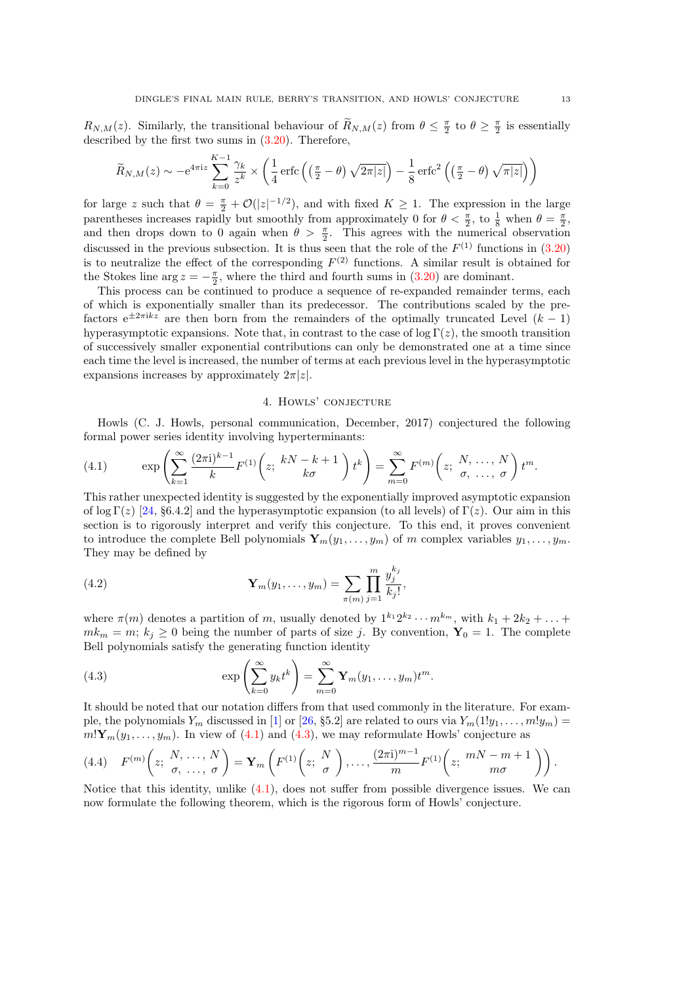<span id="page-12-0"></span> $R_{N,M}(z)$ . Similarly, the transitional behaviour of  $R_{N,M}(z)$  from  $\theta \leq \frac{\pi}{2}$  to  $\theta \geq \frac{\pi}{2}$  is essentially described by the first two sums in [\(3.20\)](#page-10-0). Therefore,

$$
\widetilde{R}_{N,M}(z) \sim -e^{4\pi i z} \sum_{k=0}^{K-1} \frac{\gamma_k}{z^k} \times \left(\frac{1}{4} \operatorname{erfc}\left(\left(\frac{\pi}{2} - \theta\right) \sqrt{2\pi |z|}\right) - \frac{1}{8} \operatorname{erfc}^2\left(\left(\frac{\pi}{2} - \theta\right) \sqrt{\pi |z|}\right)\right)
$$

for large z such that  $\theta = \frac{\pi}{2} + \mathcal{O}(|z|^{-1/2})$ , and with fixed  $K \geq 1$ . The expression in the large parentheses increases rapidly but smoothly from approximately 0 for  $\theta < \frac{\pi}{2}$ , to  $\frac{1}{8}$  when  $\theta = \frac{\pi}{2}$ , and then drops down to 0 again when  $\theta > \frac{\pi}{2}$ . This agrees with the numerical observation discussed in the previous subsection. It is thus seen that the role of the  $F^{(1)}$  functions in  $(3.20)$ is to neutralize the effect of the corresponding  $F<sup>(2)</sup>$  functions. A similar result is obtained for the Stokes line arg  $z = -\frac{\pi}{2}$ , where the third and fourth sums in [\(3.20\)](#page-10-0) are dominant.

This process can be continued to produce a sequence of re-expanded remainder terms, each of which is exponentially smaller than its predecessor. The contributions scaled by the prefactors  $e^{\pm 2\pi i kz}$  are then born from the remainders of the optimally truncated Level  $(k-1)$ hyperasymptotic expansions. Note that, in contrast to the case of  $\log \Gamma(z)$ , the smooth transition of successively smaller exponential contributions can only be demonstrated one at a time since each time the level is increased, the number of terms at each previous level in the hyperasymptotic expansions increases by approximately  $2\pi |z|$ .

### 4. Howls' conjecture

Howls (C. J. Howls, personal communication, December, 2017) conjectured the following formal power series identity involving hyperterminants:

(4.1) 
$$
\exp\left(\sum_{k=1}^{\infty}\frac{(2\pi i)^{k-1}}{k}F^{(1)}\left(z;\frac{kN-k+1}{k\sigma}\right)t^k\right)=\sum_{m=0}^{\infty}F^{(m)}\left(z;\frac{N,\ldots,N}{\sigma,\ldots,\sigma}\right)t^m.
$$

This rather unexpected identity is suggested by the exponentially improved asymptotic expansion of log Γ(z) [\[24,](#page-22-0) §6.4.2] and the hyperasymptotic expansion (to all levels) of Γ(z). Our aim in this section is to rigorously interpret and verify this conjecture. To this end, it proves convenient to introduce the complete Bell polynomials  $\mathbf{Y}_m(y_1, \ldots, y_m)$  of m complex variables  $y_1, \ldots, y_m$ . They may be defined by

(4.2) 
$$
\mathbf{Y}_m(y_1,\ldots,y_m) = \sum_{\pi(m)} \prod_{j=1}^m \frac{y_j^{k_j}}{k_j!},
$$

where  $\pi(m)$  denotes a partition of m, usually denoted by  $1^{k_1}2^{k_2}\cdots m^{k_m}$ , with  $k_1+2k_2+\ldots$  $m k_m = m$ ;  $k_j \geq 0$  being the number of parts of size j. By convention,  $Y_0 = 1$ . The complete Bell polynomials satisfy the generating function identity

(4.3) 
$$
\exp\left(\sum_{k=0}^{\infty} y_k t^k\right) = \sum_{m=0}^{\infty} \mathbf{Y}_m(y_1, \dots, y_m) t^m.
$$

It should be noted that our notation differs from that used commonly in the literature. For example, the polynomials  $Y_m$  discussed in [\[1\]](#page-21-0) or [\[26,](#page-22-0) §5.2] are related to ours via  $Y_m(1!y_1, \ldots, m!y_m)$  =  $m! \mathbf{Y}_m(y_1, \ldots, y_m)$ . In view of (4.1) and (4.3), we may reformulate Howls' conjecture as

(4.4) 
$$
F^{(m)}\left(z; \frac{N}{\sigma}, \dots, \frac{N}{\sigma}\right) = \mathbf{Y}_m\left(F^{(1)}\left(z; \frac{N}{\sigma}\right), \dots, \frac{(2\pi i)^{m-1}}{m}F^{(1)}\left(z; \frac{mN-m+1}{m\sigma}\right)\right).
$$

Notice that this identity, unlike (4.1), does not suffer from possible divergence issues. We can now formulate the following theorem, which is the rigorous form of Howls' conjecture.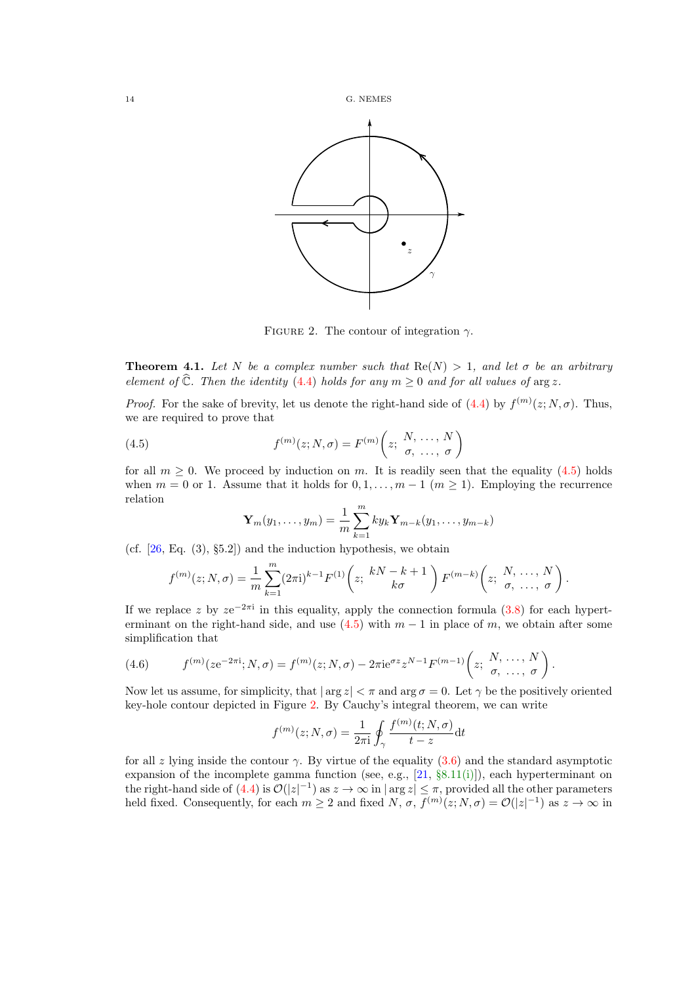<span id="page-13-0"></span>

FIGURE 2. The contour of integration  $\gamma$ .

**Theorem 4.1.** Let N be a complex number such that  $\text{Re}(N) > 1$ , and let  $\sigma$  be an arbitrary element of  $\widehat{\mathbb{C}}$ . Then the identity [\(4.4\)](#page-12-0) holds for any  $m \geq 0$  and for all values of arg z.

*Proof.* For the sake of brevity, let us denote the right-hand side of [\(4.4\)](#page-12-0) by  $f^{(m)}(z; N, \sigma)$ . Thus, we are required to prove that

(4.5) 
$$
f^{(m)}(z;N,\sigma) = F^{(m)}\left(z;\begin{array}{l}N,\ldots,N\\ \sigma,\ldots,\sigma\end{array}\right)
$$

for all  $m \geq 0$ . We proceed by induction on m. It is readily seen that the equality (4.5) holds when  $m = 0$  or 1. Assume that it holds for  $0, 1, \ldots, m-1$   $(m \ge 1)$ . Employing the recurrence relation

$$
\mathbf{Y}_m(y_1,\ldots,y_m)=\frac{1}{m}\sum_{k=1}^m k y_k \mathbf{Y}_{m-k}(y_1,\ldots,y_{m-k})
$$

(cf.  $[26, Eq. (3), §5.2]$ ) and the induction hypothesis, we obtain

$$
f^{(m)}(z;N,\sigma) = \frac{1}{m} \sum_{k=1}^{m} (2\pi i)^{k-1} F^{(1)}\left(z; \frac{kN-k+1}{k\sigma}\right) F^{(m-k)}\left(z; \frac{N, \ldots, N}{\sigma, \ldots, \sigma}\right).
$$

If we replace z by  $ze^{-2\pi i}$  in this equality, apply the connection formula [\(3.8\)](#page-7-0) for each hyperterminant on the right-hand side, and use  $(4.5)$  with  $m-1$  in place of m, we obtain after some simplification that

(4.6) 
$$
f^{(m)}(ze^{-2\pi i}; N, \sigma) = f^{(m)}(z; N, \sigma) - 2\pi i e^{\sigma z} z^{N-1} F^{(m-1)}\left(z; \begin{array}{l} N, \ldots, N \\ \sigma, \ldots, \sigma \end{array}\right).
$$

Now let us assume, for simplicity, that  $|\arg z| < \pi$  and  $\arg \sigma = 0$ . Let  $\gamma$  be the positively oriented key-hole contour depicted in Figure 2. By Cauchy's integral theorem, we can write

$$
f^{(m)}(z;N,\sigma) = \frac{1}{2\pi i} \oint_{\gamma} \frac{f^{(m)}(t;N,\sigma)}{t-z} dt
$$

for all z lying inside the contour  $\gamma$ . By virtue of the equality [\(3.6\)](#page-6-0) and the standard asymptotic expansion of the incomplete gamma function (see, e.g.,  $[21, §8.11(i)]$  $[21, §8.11(i)]$ ), each hyperterminant on the right-hand side of  $(4.4)$  is  $\mathcal{O}(|z|^{-1})$  as  $z \to \infty$  in  $|\arg z| \leq \pi$ , provided all the other parameters held fixed. Consequently, for each  $m \geq 2$  and fixed  $N$ ,  $\sigma$ ,  $f^{(m)}(z; N, \sigma) = \mathcal{O}(|z|^{-1})$  as  $z \to \infty$  in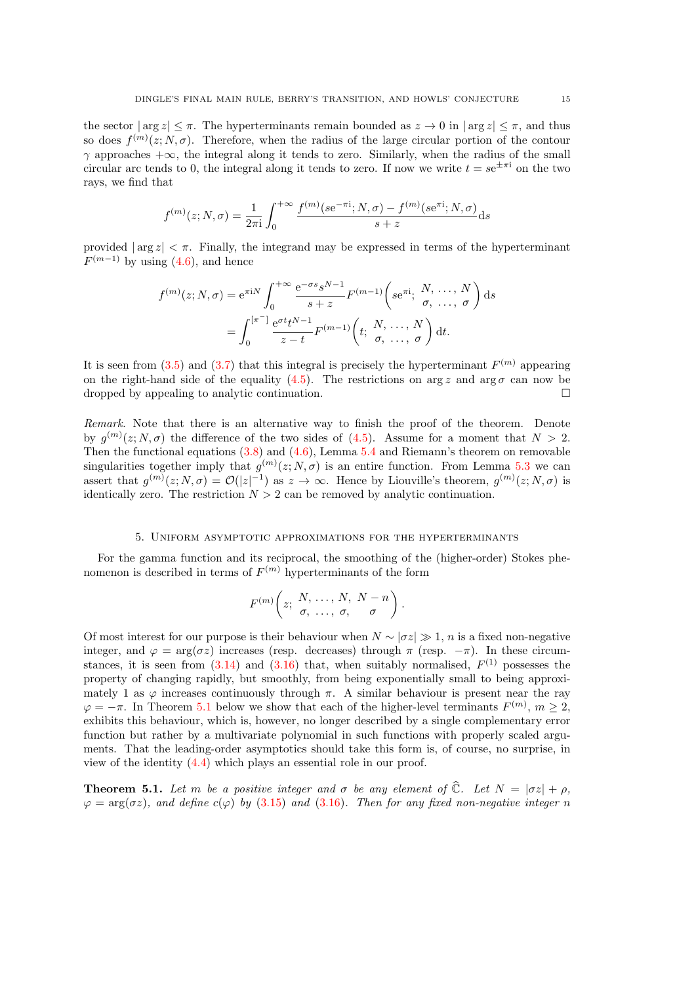<span id="page-14-0"></span>the sector  $|\arg z| \leq \pi$ . The hyperterminants remain bounded as  $z \to 0$  in  $|\arg z| \leq \pi$ , and thus so does  $f^{(m)}(z; N, \sigma)$ . Therefore, when the radius of the large circular portion of the contour  $\gamma$  approaches  $+\infty$ , the integral along it tends to zero. Similarly, when the radius of the small circular arc tends to 0, the integral along it tends to zero. If now we write  $t = s e^{\pm \pi i}$  on the two rays, we find that

$$
f^{(m)}(z;N,\sigma) = \frac{1}{2\pi i} \int_0^{+\infty} \frac{f^{(m)}(s e^{-\pi i};N,\sigma) - f^{(m)}(s e^{\pi i};N,\sigma)}{s + z} ds
$$

provided  $|\arg z| < \pi$ . Finally, the integrand may be expressed in terms of the hyperterminant  $F^{(m-1)}$  by using [\(4.6\)](#page-13-0), and hence

$$
f^{(m)}(z;N,\sigma) = e^{\pi i N} \int_0^{+\infty} \frac{e^{-\sigma s} s^{N-1}}{s+z} F^{(m-1)}\left( s e^{\pi i}; \begin{array}{c} N, \ldots, N \\ \sigma, \ldots, \sigma \end{array} \right) ds
$$
  
= 
$$
\int_0^{\pi} \frac{e^{\sigma t} t^{N-1}}{z-t} F^{(m-1)}\left( t; \begin{array}{c} N, \ldots, N \\ \sigma, \ldots, \sigma \end{array} \right) dt.
$$

It is seen from  $(3.5)$  and  $(3.7)$  that this integral is precisely the hyperterminant  $F^{(m)}$  appearing on the right-hand side of the equality [\(4.5\)](#page-13-0). The restrictions on arg z and arg  $\sigma$  can now be dropped by appealing to analytic continuation.  $\Box$ 

Remark. Note that there is an alternative way to finish the proof of the theorem. Denote by  $g^{(m)}(z;N,\sigma)$  the difference of the two sides of [\(4.5\)](#page-13-0). Assume for a moment that  $N>2$ . Then the functional equations  $(3.8)$  and  $(4.6)$ , Lemma [5.4](#page-17-0) and Riemann's theorem on removable singularities together imply that  $g^{(m)}(z; N, \sigma)$  is an entire function. From Lemma [5.3](#page-15-0) we can assert that  $g^{(m)}(z;N,\sigma) = \mathcal{O}(|z|^{-1})$  as  $z \to \infty$ . Hence by Liouville's theorem,  $g^{(m)}(z;N,\sigma)$  is identically zero. The restriction  $N > 2$  can be removed by analytic continuation.

### 5. Uniform asymptotic approximations for the hyperterminants

For the gamma function and its reciprocal, the smoothing of the (higher-order) Stokes phenomenon is described in terms of  $F^{(m)}$  hyperterminants of the form

$$
F^{(m)}\left(z;\; \frac{N,\; \ldots,\; N,\; N-n}{\sigma,\; \ldots,\; \sigma,\; \sigma}\right).
$$

Of most interest for our purpose is their behaviour when  $N \sim |\sigma z| \gg 1$ , n is a fixed non-negative integer, and  $\varphi = \arg(\sigma z)$  increases (resp. decreases) through  $\pi$  (resp.  $-\pi$ ). In these circumstances, it is seen from  $(3.14)$  and  $(3.16)$  that, when suitably normalised,  $F<sup>(1)</sup>$  possesses the property of changing rapidly, but smoothly, from being exponentially small to being approximately 1 as  $\varphi$  increases continuously through  $\pi$ . A similar behaviour is present near the ray  $\varphi = -\pi$ . In Theorem 5.1 below we show that each of the higher-level terminants  $F^{(m)}$ ,  $m \geq 2$ , exhibits this behaviour, which is, however, no longer described by a single complementary error function but rather by a multivariate polynomial in such functions with properly scaled arguments. That the leading-order asymptotics should take this form is, of course, no surprise, in view of the identity [\(4.4\)](#page-12-0) which plays an essential role in our proof.

**Theorem 5.1.** Let m be a positive integer and  $\sigma$  be any element of  $\hat{\mathbb{C}}$ . Let  $N = |\sigma z| + \rho$ ,  $\varphi = \arg(\sigma z)$ , and define  $c(\varphi)$  by [\(3.15\)](#page-8-0) and [\(3.16\)](#page-8-0). Then for any fixed non-negative integer n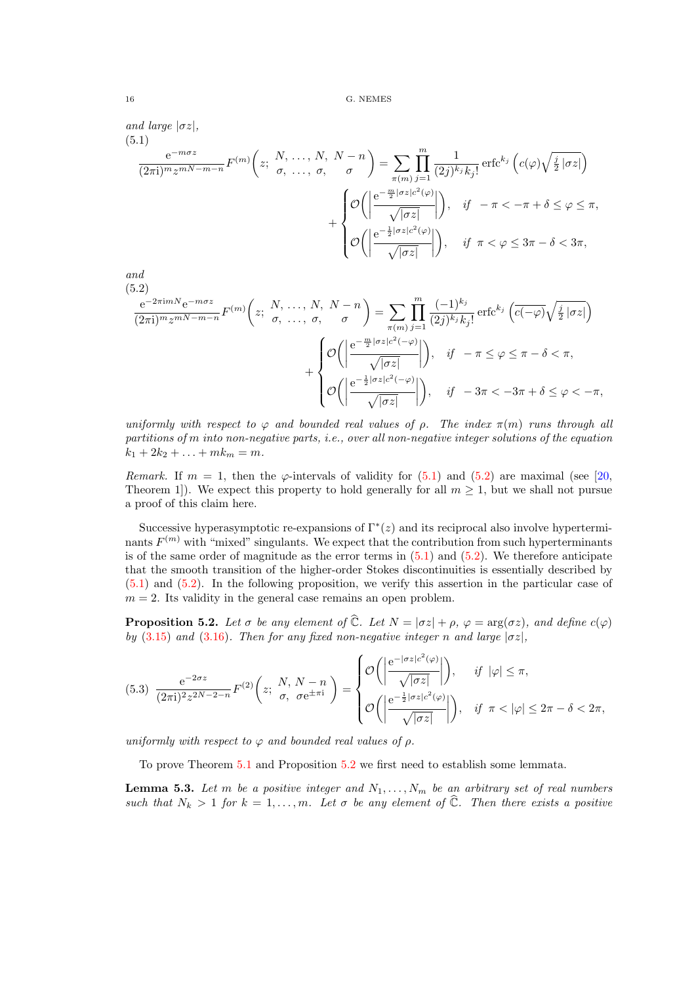(5.1)

\n
$$
\frac{e^{-m\sigma z}}{(2\pi i)^m z^{mN-m-n}} F^{(m)}\left(z; \begin{array}{l} N, \ldots, N, \ N-n \end{array}\right) = \sum_{\pi(m)} \prod_{j=1}^m \frac{1}{(2j)^{k_j} k_j!} \operatorname{erfc}^{k_j}\left(c(\varphi) \sqrt{\frac{j}{2} |\sigma z|}\right)
$$
\n
$$
+ \begin{cases} \mathcal{O}\left(\left|\frac{e^{-\frac{m}{2} |\sigma z| c^2(\varphi)}}{\sqrt{|\sigma z|}}\right|\right), & \text{if } -\pi < -\pi + \delta \le \varphi \le \pi, \\ \mathcal{O}\left(\left|\frac{e^{-\frac{1}{2} |\sigma z| c^2(\varphi)}}{\sqrt{|\sigma z|}}\right|\right), & \text{if } \pi < \varphi \le 3\pi - \delta < 3\pi, \end{cases}
$$
\nand

$$
\begin{array}{c}\n ana \\
 (5.2)\n \end{array}
$$

$$
\frac{e^{-2\pi i m N}e^{-m\sigma z}}{(2\pi i)^m z^{mN-m-n}} F^{(m)}\left(z; \begin{array}{l} N, \ldots, N, N-n \\ \sigma, \ldots, \sigma, \sigma \end{array}\right) = \sum_{\pi(m)} \prod_{j=1}^m \frac{(-1)^{k_j}}{(2j)^{k_j} k_j!} \operatorname{erfc}^{k_j} \left(\overline{c(-\varphi)} \sqrt{\frac{j}{2} |\sigma z|}\right) + \begin{cases} \mathcal{O}\left(\left|\frac{e^{-\frac{m}{2} |\sigma z| c^2(-\varphi)}}{\sqrt{|\sigma z|}}\right|\right), & \text{if } -\pi \le \varphi \le \pi - \delta < \pi, \\ \mathcal{O}\left(\left|\frac{e^{-\frac{1}{2} |\sigma z| c^2(-\varphi)}}{\sqrt{|\sigma z|}}\right|\right), & \text{if } -3\pi < -3\pi + \delta \le \varphi < -\pi, \end{cases}
$$

uniformly with respect to  $\varphi$  and bounded real values of  $\rho$ . The index  $\pi(m)$  runs through all partitions of m into non-negative parts, i.e., over all non-negative integer solutions of the equation  $k_1 + 2k_2 + \ldots + mk_m = m.$ 

Remark. If  $m = 1$ , then the  $\varphi$ -intervals of validity for  $(5.1)$  and  $(5.2)$  are maximal (see [\[20,](#page-22-0) Theorem 1]). We expect this property to hold generally for all  $m \geq 1$ , but we shall not pursue a proof of this claim here.

Successive hyperasymptotic re-expansions of  $\Gamma^*(z)$  and its reciprocal also involve hyperterminants  $F^{(m)}$  with "mixed" singulants. We expect that the contribution from such hyperterminants is of the same order of magnitude as the error terms in  $(5.1)$  and  $(5.2)$ . We therefore anticipate that the smooth transition of the higher-order Stokes discontinuities is essentially described by (5.1) and (5.2). In the following proposition, we verify this assertion in the particular case of  $m = 2$ . Its validity in the general case remains an open problem.

**Proposition 5.2.** Let  $\sigma$  be any element of  $\hat{C}$ . Let  $N = |\sigma z| + \rho$ ,  $\varphi = \arg(\sigma z)$ , and define  $c(\varphi)$ by [\(3.15\)](#page-8-0) and [\(3.16\)](#page-8-0). Then for any fixed non-negative integer n and large  $|\sigma z|$ ,

$$
(5.3) \frac{e^{-2\sigma z}}{(2\pi i)^2 z^{2N-2-n}} F^{(2)}\left(z; \begin{array}{c} N, N-n \\ \sigma, \sigma e^{\pm \pi i} \end{array}\right) = \begin{cases} \mathcal{O}\left(\left|\frac{e^{-|\sigma z|c^2(\varphi)}}{\sqrt{|\sigma z|}}\right|\right), & \text{if } |\varphi| \le \pi, \\ \mathcal{O}\left(\left|\frac{e^{-\frac{1}{2}|\sigma z|c^2(\varphi)}}{\sqrt{|\sigma z|}}\right|\right), & \text{if } \pi < |\varphi| \le 2\pi - \delta < 2\pi, \end{cases}
$$

uniformly with respect to  $\varphi$  and bounded real values of  $\rho$ .

To prove Theorem [5.1](#page-14-0) and Proposition 5.2 we first need to establish some lemmata.

**Lemma 5.3.** Let m be a positive integer and  $N_1, \ldots, N_m$  be an arbitrary set of real numbers such that  $N_k > 1$  for  $k = 1, ..., m$ . Let  $\sigma$  be any element of  $\widehat{\mathbb{C}}$ . Then there exists a positive

<span id="page-15-0"></span>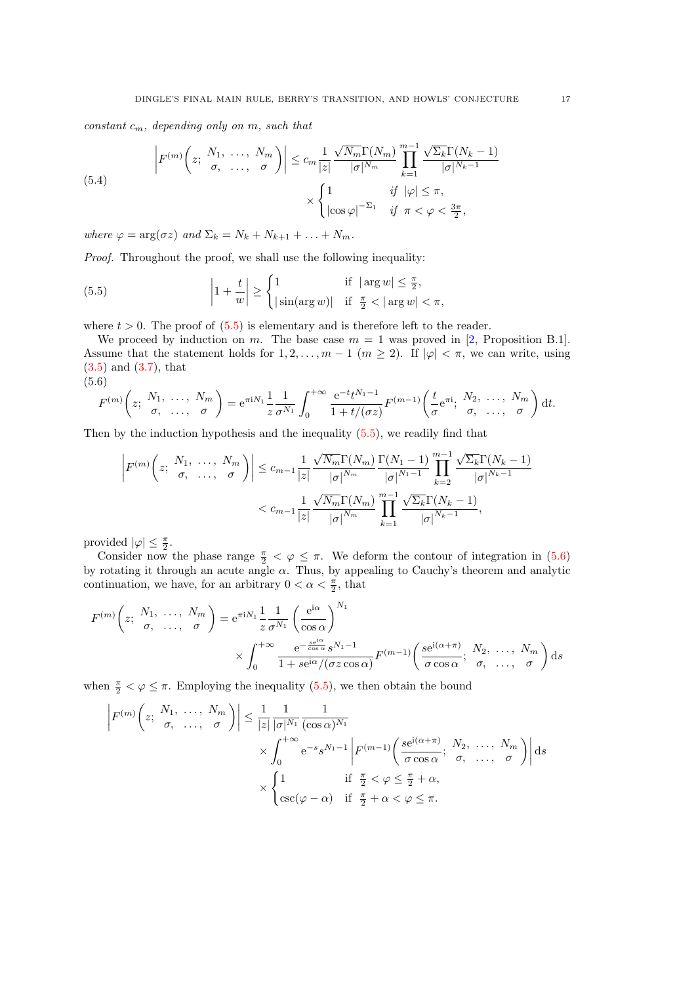<span id="page-16-0"></span>constant  $c_m$ , depending only on m, such that

(5.4) 
$$
\left| F^{(m)} \left( z; \begin{array}{cc} N_1, \ldots, N_m \\ \sigma, \ldots, \sigma \end{array} \right) \right| \leq c_m \frac{1}{|z|} \frac{\sqrt{N_m} \Gamma(N_m)}{|\sigma|^{N_m}} \prod_{k=1}^{m-1} \frac{\sqrt{\Sigma_k} \Gamma(N_k - 1)}{|\sigma|^{N_k - 1}} \times \begin{cases} 1 & \text{if } |\varphi| \leq \pi, \\ |\cos \varphi|^{-\Sigma_1} & \text{if } \pi < \varphi < \frac{3\pi}{2}, \end{cases}
$$

where  $\varphi = \arg(\sigma z)$  and  $\Sigma_k = N_k + N_{k+1} + \ldots + N_m$ .

Proof. Throughout the proof, we shall use the following inequality:

(5.5) 
$$
\left|1+\frac{t}{w}\right| \ge \begin{cases} 1 & \text{if } |\arg w| \le \frac{\pi}{2}, \\ |\sin(\arg w)| & \text{if } \frac{\pi}{2} < |\arg w| < \pi, \end{cases}
$$

where  $t > 0$ . The proof of  $(5.5)$  is elementary and is therefore left to the reader.

We proceed by induction on m. The base case  $m = 1$  was proved in [\[2,](#page-21-0) Proposition B.1]. Assume that the statement holds for  $1, 2, \ldots, m-1$   $(m \ge 2)$ . If  $|\varphi| < \pi$ , we can write, using [\(3.5\)](#page-6-0) and [\(3.7\)](#page-7-0), that (5.6)

$$
F^{(m)}\left(z; \begin{array}{cc} N_1, & \ldots, & N_m \\ \sigma, & \ldots, & \sigma \end{array}\right) = e^{\pi i N_1} \frac{1}{z} \frac{1}{\sigma^{N_1}} \int_0^{+\infty} \frac{e^{-t} t^{N_1 - 1}}{1 + t/(\sigma z)} F^{(m-1)}\left(\frac{t}{\sigma} e^{\pi i}; \begin{array}{cc} N_2, & \ldots, & N_m \\ \sigma, & \ldots, & \sigma \end{array}\right) dt.
$$

Then by the induction hypothesis and the inequality (5.5), we readily find that

$$
\left| F^{(m)} \left( z; \begin{array}{c} N_1, \ldots, N_m \\ \sigma, \ldots, \sigma \end{array} \right) \right| \leq c_{m-1} \frac{1}{|z|} \frac{\sqrt{N_m} \Gamma(N_m)}{|\sigma|^{N_m}} \frac{\Gamma(N_1 - 1)}{|\sigma|^{N_1 - 1}} \prod_{k=2}^{m-1} \frac{\sqrt{\Sigma_k} \Gamma(N_k - 1)}{|\sigma|^{N_k - 1}} \n< c_{m-1} \frac{1}{|z|} \frac{\sqrt{N_m} \Gamma(N_m)}{|\sigma|^{N_m}} \prod_{k=1}^{m-1} \frac{\sqrt{\Sigma_k} \Gamma(N_k - 1)}{|\sigma|^{N_k - 1}},
$$

provided  $|\varphi| \leq \frac{\pi}{2}$ .

Consider now the phase range  $\frac{\pi}{2} < \varphi \leq \pi$ . We deform the contour of integration in (5.6) by rotating it through an acute angle  $\alpha$ . Thus, by appealing to Cauchy's theorem and analytic continuation, we have, for an arbitrary  $0 < \alpha < \frac{\pi}{2}$ , that

$$
F^{(m)}\left(z; \begin{array}{ccc} N_1, & \ldots, & N_m \\ \sigma, & \ldots, & \sigma \end{array}\right) = e^{\pi i N_1} \frac{1}{z} \frac{1}{\sigma^{N_1}} \left(\frac{e^{i\alpha}}{\cos \alpha}\right)^{N_1} \times \int_0^{+\infty} \frac{e^{-\frac{se^{i\alpha}}{\cos \alpha}} s^{N_1 - 1}}{1 + se^{i\alpha}/(\sigma z \cos \alpha)} F^{(m-1)}\left(\frac{se^{i(\alpha + \pi)}}{\sigma \cos \alpha}; \begin{array}{ccc} N_2, & \ldots, & N_m \\ \sigma, & \ldots, & \sigma \end{array}\right) ds
$$

when  $\frac{\pi}{2} < \varphi \leq \pi$ . Employing the inequality (5.5), we then obtain the bound

$$
\left| F^{(m)} \left( z; \begin{array}{c} N_1, \ldots, N_m \\ \sigma, \ldots, \sigma \end{array} \right) \right| \leq \frac{1}{|z|} \frac{1}{|\sigma|^{N_1}} \frac{1}{(\cos \alpha)^{N_1}} \left| F^{(m-1)} \left( \frac{s e^{i(\alpha + \pi)}}{\sigma \cos \alpha}; \begin{array}{c} N_2, \ldots, N_m \\ \sigma, \ldots, \sigma \end{array} \right) \right| ds
$$

$$
\times \begin{cases} 1 & \text{if } \frac{\pi}{2} < \varphi \leq \frac{\pi}{2} + \alpha, \\ \csc(\varphi - \alpha) & \text{if } \frac{\pi}{2} + \alpha < \varphi \leq \pi. \end{cases}
$$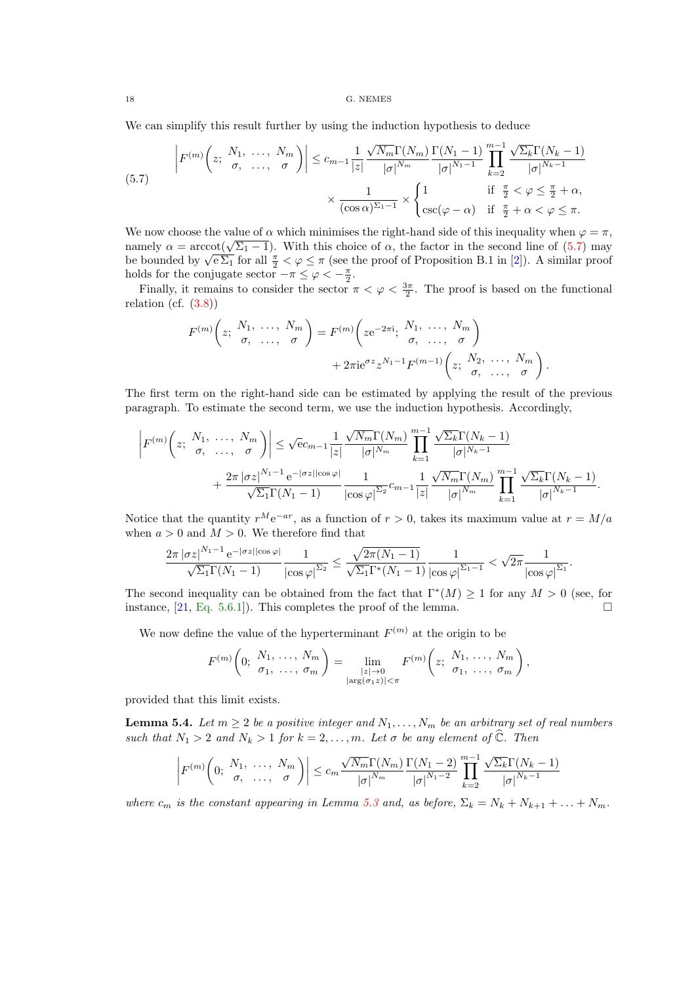<span id="page-17-0"></span>We can simplify this result further by using the induction hypothesis to deduce

(5.7) 
$$
\left| F^{(m)}\left(z; \begin{array}{cc} N_1, \ldots, N_m \\ \sigma, \ldots, \sigma \end{array} \right) \right| \leq c_{m-1} \frac{1}{|z|} \frac{\sqrt{N_m} \Gamma(N_m)}{|\sigma|^{N_m}} \frac{\Gamma(N_1 - 1)}{|\sigma|^{N_1 - 1}} \prod_{k=2}^{m-1} \frac{\sqrt{\Sigma_k} \Gamma(N_k - 1)}{|\sigma|^{N_k - 1}} \\ \times \frac{1}{(\cos \alpha)^{\Sigma_1 - 1}} \times \begin{cases} 1 & \text{if } \frac{\pi}{2} < \varphi \leq \frac{\pi}{2} + \alpha, \\ \csc(\varphi - \alpha) & \text{if } \frac{\pi}{2} + \alpha < \varphi \leq \pi. \end{cases}
$$

We now choose the value of  $\alpha$  which minimises the right-hand side of this inequality when  $\varphi = \pi$ , we now choose the value of  $\alpha$  which minimises the right-hand side of this inequality when  $\varphi = \pi$ , namely  $\alpha = \arccot(\sqrt{\Sigma_1 - 1})$ . With this choice of  $\alpha$ , the factor in the second line of (5.7) may be bounded by  $\sqrt{e \Sigma_1}$  for all  $\frac{\pi}{2} < \varphi \leq \pi$  (see the proof of Proposition B.1 in [\[2\]](#page-21-0)). A similar proof holds for the conjugate sector  $-\pi \leq \varphi < -\frac{\pi}{2}$ .

Finally, it remains to consider the sector  $\pi < \varphi < \frac{3\pi}{2}$ . The proof is based on the functional relation (cf.  $(3.8)$ )

$$
F^{(m)}\left(z; \begin{array}{c} N_1, \ldots, N_m \\ \sigma, \ldots, \sigma \end{array}\right) = F^{(m)}\left(z e^{-2\pi i}; \begin{array}{c} N_1, \ldots, N_m \\ \sigma, \ldots, \sigma \end{array}\right) + 2\pi i e^{\sigma z} z^{N_1 - 1} F^{(m-1)}\left(z; \begin{array}{c} N_2, \ldots, N_m \\ \sigma, \ldots, \sigma \end{array}\right).
$$

The first term on the right-hand side can be estimated by applying the result of the previous paragraph. To estimate the second term, we use the induction hypothesis. Accordingly,

$$
\left| F^{(m)}\left(z; \begin{array}{c} N_1, \ \ldots, \ N_m \\ \sigma, \ \ldots, \ \sigma \end{array} \right) \right| \leq \sqrt{\mathrm{e}} c_{m-1} \frac{1}{|z|} \frac{\sqrt{N_m} \Gamma(N_m)}{|\sigma|^{N_m}} \prod_{k=1}^{m-1} \frac{\sqrt{\Sigma_k} \Gamma(N_k - 1)}{|\sigma|^{N_k - 1}} \\ + \frac{2\pi |\sigma z|^{N_1 - 1} \mathrm{e}^{-|\sigma z| |\cos \varphi|}}{\sqrt{\Sigma_1} \Gamma(N_1 - 1)} \frac{1}{|\cos \varphi|^{N_2}} c_{m-1} \frac{1}{|z|} \frac{\sqrt{N_m} \Gamma(N_m)}{|\sigma|^{N_m}} \prod_{k=1}^{m-1} \frac{\sqrt{\Sigma_k} \Gamma(N_k - 1)}{|\sigma|^{N_k - 1}}.
$$

Notice that the quantity  $r^M e^{-ar}$ , as a function of  $r > 0$ , takes its maximum value at  $r = M/a$ when  $a > 0$  and  $M > 0$ . We therefore find that

$$
\frac{2\pi\left|\sigma z\right|^{N_1-1}\mathrm{e}^{-\left|\sigma z\right|\left|\cos\varphi\right|}}{\sqrt{\Sigma_1}\Gamma(N_1-1)}\frac{1}{\left|\cos\varphi\right|^{\Sigma_2}}\leq \frac{\sqrt{2\pi(N_1-1)}}{\sqrt{\Sigma_1}\Gamma^*(N_1-1)}\frac{1}{\left|\cos\varphi\right|^{\Sigma_1-1}}<\sqrt{2\pi}\frac{1}{\left|\cos\varphi\right|^{\Sigma_1}}.
$$

The second inequality can be obtained from the fact that  $\Gamma^*(M) \geq 1$  for any  $M > 0$  (see, for instance,  $[21, Eq. 5.6.1]$  $[21, Eq. 5.6.1]$ . This completes the proof of the lemma.

We now define the value of the hyperterminant  $F^{(m)}$  at the origin to be

$$
F^{(m)}\left(0;\begin{array}{l}N_1,\ldots,N_m\\ \sigma_1,\ldots,\sigma_m\end{array}\right)=\lim_{\substack{|z|\to 0\\|\arg(\sigma_1z)|<\pi}}F^{(m)}\left(z;\begin{array}{l}N_1,\ldots,N_m\\ \sigma_1,\ldots,\sigma_m\end{array}\right),
$$

provided that this limit exists.

**Lemma 5.4.** Let  $m \geq 2$  be a positive integer and  $N_1, \ldots, N_m$  be an arbitrary set of real numbers such that  $N_1 > 2$  and  $N_k > 1$  for  $k = 2, \ldots, m$ . Let  $\sigma$  be any element of  $\widehat{\mathbb{C}}$ . Then

$$
\left| F^{(m)}\left(0; \begin{array}{c} N_1, \ \ldots, \ N_m \\ \sigma, \ \ldots, \ \sigma \end{array}\right) \right| \leq c_m \frac{\sqrt{N_m} \Gamma(N_m)}{|\sigma|^{N_m}} \frac{\Gamma(N_1-2)}{|\sigma|^{N_1-2}} \prod_{k=2}^{m-1} \frac{\sqrt{\Sigma_k} \Gamma(N_k-1)}{|\sigma|^{N_k-1}}
$$

where  $c_m$  is the constant appearing in Lemma [5.3](#page-15-0) and, as before,  $\Sigma_k = N_k + N_{k+1} + \ldots + N_m$ .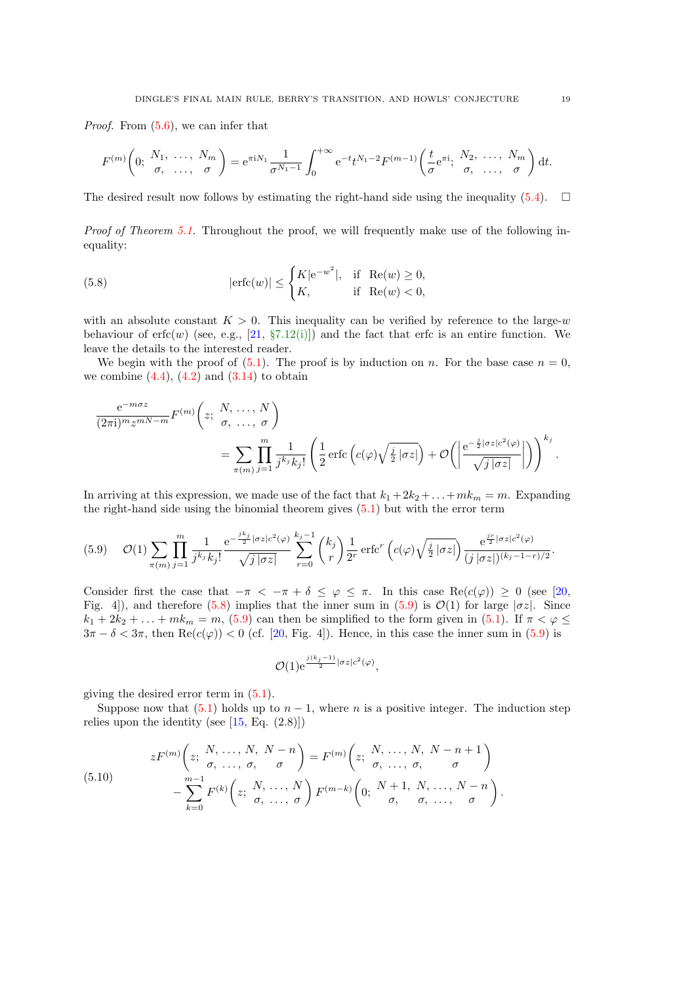<span id="page-18-0"></span>Proof. From [\(5.6\)](#page-16-0), we can infer that

$$
F^{(m)}\left(0; \begin{array}{ccc} N_1, & \ldots, & N_m \\ \sigma, & \ldots, & \sigma \end{array}\right) = e^{\pi i N_1} \frac{1}{\sigma^{N_1 - 1}} \int_0^{+\infty} e^{-t} t^{N_1 - 2} F^{(m-1)}\left(\frac{t}{\sigma} e^{\pi i}, \begin{array}{ccc} N_2, & \ldots, & N_m \\ \sigma, & \ldots, & \sigma \end{array}\right) dt.
$$

The desired result now follows by estimating the right-hand side using the inequality [\(5.4\)](#page-16-0).  $\square$ 

Proof of Theorem [5.1.](#page-14-0) Throughout the proof, we will frequently make use of the following inequality:

(5.8) 
$$
|\text{erfc}(w)| \le \begin{cases} K|\text{e}^{-w^2}|, & \text{if } \operatorname{Re}(w) \ge 0, \\ K, & \text{if } \operatorname{Re}(w) < 0, \end{cases}
$$

with an absolute constant  $K > 0$ . This inequality can be verified by reference to the large-w behaviour of  $erfc(w)$  (see, e.g., [\[21,](#page-22-0) §[7.12\(i\)\]](https://dlmf.nist.gov/7.12.i)) and the fact that erfc is an entire function. We leave the details to the interested reader.

We begin with the proof of  $(5.1)$ . The proof is by induction on n. For the base case  $n = 0$ , we combine  $(4.4)$ ,  $(4.2)$  and  $(3.14)$  to obtain

$$
\frac{e^{-m\sigma z}}{(2\pi i)^m z^{mN-m}} F^{(m)}\left(z; \begin{array}{c} N, \ldots, N \\ \sigma, \ldots, \sigma \end{array}\right)
$$
\n
$$
= \sum_{\pi(m)} \prod_{j=1}^m \frac{1}{j^{k_j} k_j!} \left(\frac{1}{2} \operatorname{erfc}\left(c(\varphi) \sqrt{\frac{j}{2} |\sigma z|}\right) + \mathcal{O}\left(\left|\frac{e^{-\frac{j}{2} |\sigma z| c^2(\varphi)}}{\sqrt{j |\sigma z|}}\right|\right)\right)^{k_j}.
$$

In arriving at this expression, we made use of the fact that  $k_1 + 2k_2 + \ldots + mk_m = m$ . Expanding the right-hand side using the binomial theorem gives [\(5.1\)](#page-15-0) but with the error term

$$
(5.9) \quad \mathcal{O}(1) \sum_{\pi(m)} \prod_{j=1}^{m} \frac{1}{j^{k_j} k_j!} \frac{e^{-\frac{j k_j}{2} |\sigma z| c^2(\varphi)}}{\sqrt{j |\sigma z|}} \sum_{r=0}^{k_j-1} {k_j \choose r} \frac{1}{2^r} \operatorname{erfc}^r (c(\varphi) \sqrt{\frac{j}{2} |\sigma z|}) \frac{e^{\frac{j r}{2} |\sigma z| c^2(\varphi)}}{(j |\sigma z|)^{(k_j-1-r)/2}}.
$$

Consider first the case that  $-\pi < -\pi + \delta \leq \varphi \leq \pi$ . In this case Re $(c(\varphi)) \geq 0$  (see [\[20,](#page-22-0) Fig. 4]), and therefore (5.8) implies that the inner sum in (5.9) is  $\mathcal{O}(1)$  for large  $|\sigma z|$ . Since  $k_1 + 2k_2 + \ldots + mk_m = m$ , (5.9) can then be simplified to the form given in [\(5.1\)](#page-15-0). If  $\pi < \varphi \le$  $3\pi - \delta < 3\pi$ , then Re(c( $\varphi$ )) < 0 (cf. [\[20,](#page-22-0) Fig. 4]). Hence, in this case the inner sum in (5.9) is

$$
\mathcal{O}(1)e^{\frac{j(k_j-1)}{2}|\sigma z|c^2(\varphi)},
$$

giving the desired error term in [\(5.1\)](#page-15-0).

Suppose now that  $(5.1)$  holds up to  $n-1$ , where n is a positive integer. The induction step relies upon the identity (see  $[15, Eq. (2.8)]$ )

(5.10) 
$$
zF^{(m)}\left(z; \begin{array}{c} N, \ldots, N, N-n \\ \sigma, \ldots, \sigma, \sigma \end{array}\right) = F^{(m)}\left(z; \begin{array}{c} N, \ldots, N, N-n+1 \\ \sigma, \ldots, \sigma, \sigma \end{array}\right) - \sum_{k=0}^{m-1} F^{(k)}\left(z; \begin{array}{c} N, \ldots, N \\ \sigma, \ldots, \sigma \end{array}\right) F^{(m-k)}\left(0; \begin{array}{c} N+1, N, \ldots, N-n \\ \sigma, \sigma, \ldots, \sigma \end{array}\right).
$$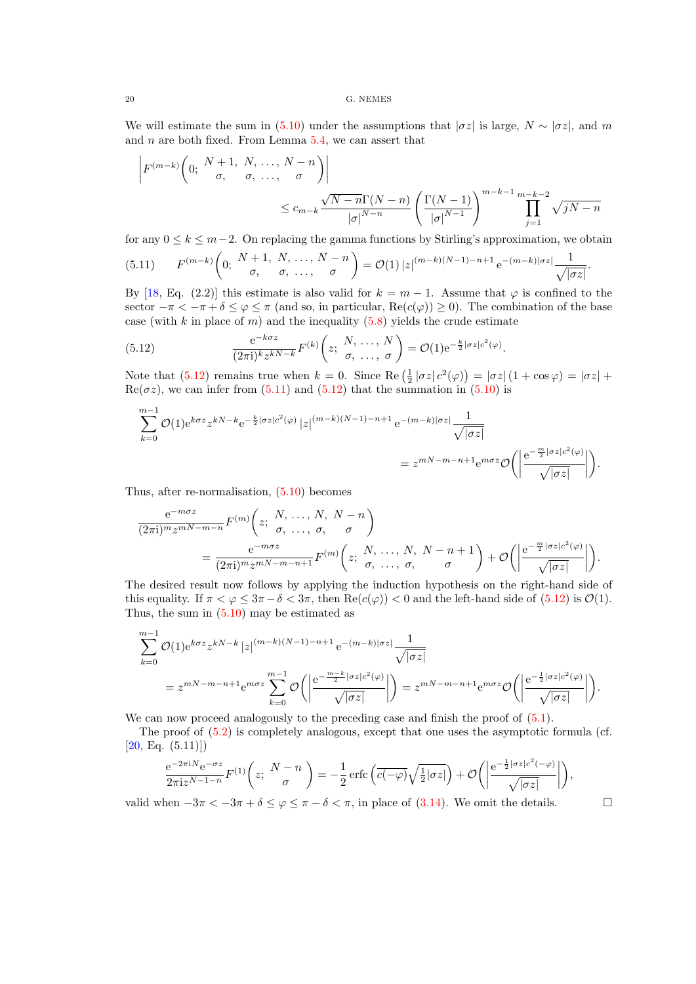We will estimate the sum in [\(5.10\)](#page-18-0) under the assumptions that  $|\sigma z|$  is large,  $N \sim |\sigma z|$ , and m and  $n$  are both fixed. From Lemma  $5.4$ , we can assert that

$$
\begin{aligned}\n\left| F^{(m-k)}\left(0; \begin{array}{c} N+1, N, \dots, N-n \\ \sigma, \sigma, \dots, \sigma \end{array}\right) \right| \\
&\leq c_{m-k} \frac{\sqrt{N-n} \Gamma(N-n)}{|\sigma|^{N-n}} \left( \frac{\Gamma(N-1)}{|\sigma|^{N-1}} \right)^{m-k-1} \prod_{j=1}^{m-k-2} \sqrt{jN-n}\n\end{aligned}
$$

for any  $0 \leq k \leq m-2$ . On replacing the gamma functions by Stirling's approximation, we obtain

$$
(5.11) \tF^{(m-k)}\left(0; \frac{N+1}{\sigma}, \frac{N}{\sigma}, \dots, \frac{N-n}{\sigma}\right) = \mathcal{O}(1) \left|z\right|^{(m-k)(N-1)-n+1} e^{-(m-k)|\sigma z|} \frac{1}{\sqrt{|\sigma z|}}.
$$

By [\[18,](#page-22-0) Eq. (2.2)] this estimate is also valid for  $k = m - 1$ . Assume that  $\varphi$  is confined to the sector  $-\pi < -\pi + \delta \leq \varphi \leq \pi$  (and so, in particular,  $\text{Re}(c(\varphi)) \geq 0$ ). The combination of the base case (with k in place of m) and the inequality  $(5.8)$  yields the crude estimate

(5.12) 
$$
\frac{e^{-k\sigma z}}{(2\pi i)^k z^{kN-k}} F^{(k)}\left(z; \begin{array}{c} N, \ldots, N \\ \sigma, \ldots, \sigma \end{array}\right) = \mathcal{O}(1) e^{-\frac{k}{2} |\sigma z| c^2(\varphi)}.
$$

Note that (5.12) remains true when  $k = 0$ . Since  $\text{Re}(\frac{1}{2}|\sigma z|c^2(\varphi)) = |\sigma z| (1 + \cos \varphi) = |\sigma z| +$  $\text{Re}(\sigma z)$ , we can infer from (5.11) and (5.12) that the summation in [\(5.10\)](#page-18-0) is

$$
\sum_{k=0}^{m-1} \mathcal{O}(1) e^{k\sigma z} z^{kN-k} e^{-\frac{k}{2} |\sigma z| c^2(\varphi)} |z|^{(m-k)(N-1)-n+1} e^{-(m-k)|\sigma z|} \frac{1}{\sqrt{|\sigma z|}}
$$
  
= 
$$
z^{mN-m-n+1} e^{m\sigma z} \mathcal{O}\left(\left|\frac{e^{-\frac{m}{2} |\sigma z| c^2(\varphi)}}{\sqrt{|\sigma z|}}\right|\right).
$$

Thus, after re-normalisation, [\(5.10\)](#page-18-0) becomes

$$
\frac{e^{-m\sigma z}}{(2\pi i)^m z^{mN-m-n}} F^{(m)}\left(z; \begin{array}{l}N, \ldots, N, N-n\\ \sigma, \ldots, \sigma, \sigma\end{array}\right)
$$
\n
$$
= \frac{e^{-m\sigma z}}{(2\pi i)^m z^{mN-m-n+1}} F^{(m)}\left(z; \begin{array}{l}N, \ldots, N, N-n+1\\ \sigma, \ldots, \sigma, \sigma\end{array}\right) + \mathcal{O}\left(\left|\frac{e^{-\frac{m}{2}|\sigma z| c^2(\varphi)}}{\sqrt{|\sigma z|}}\right|\right).
$$

The desired result now follows by applying the induction hypothesis on the right-hand side of this equality. If  $\pi < \varphi \leq 3\pi - \delta < 3\pi$ , then  $\text{Re}(c(\varphi)) < 0$  and the left-hand side of (5.12) is  $\mathcal{O}(1)$ . Thus, the sum in  $(5.10)$  may be estimated as

$$
\sum_{k=0}^{m-1} \mathcal{O}(1) e^{k\sigma z} z^{kN-k} |z|^{(m-k)(N-1)-n+1} e^{-(m-k)|\sigma z|} \frac{1}{\sqrt{|\sigma z|}}
$$
  
=  $z^{mN-m-n+1} e^{m\sigma z} \sum_{k=0}^{m-1} \mathcal{O}\left(\left|\frac{e^{-\frac{m-k}{2}|\sigma z|c^2(\varphi)}}{\sqrt{|\sigma z|}}\right|\right) = z^{mN-m-n+1} e^{m\sigma z} \mathcal{O}\left(\left|\frac{e^{-\frac{1}{2}|\sigma z|c^2(\varphi)}}{\sqrt{|\sigma z|}}\right|\right).$ 

We can now proceed analogously to the preceding case and finish the proof of  $(5.1)$ .

The proof of [\(5.2\)](#page-15-0) is completely analogous, except that one uses the asymptotic formula (cf.  $[20, Eq. (5.11)]$  $[20, Eq. (5.11)]$ 

$$
\frac{e^{-2\pi i N}e^{-\sigma z}}{2\pi i z^{N-1-n}}F^{(1)}\left(z;\ \frac{N-n}{\sigma}\right)=-\frac{1}{2}\operatorname{erfc}\left(\overline{c(-\varphi)}\sqrt{\frac{1}{2}|\sigma z|}\right)+\mathcal{O}\left(\left|\frac{e^{-\frac{1}{2}|\sigma z|c^2(-\varphi)}}{\sqrt{|\sigma z|}}\right|\right),\right.
$$

valid when  $-3\pi < -3\pi + \delta \leq \varphi \leq \pi - \delta < \pi$ , in place of [\(3.14\)](#page-8-0). We omit the details.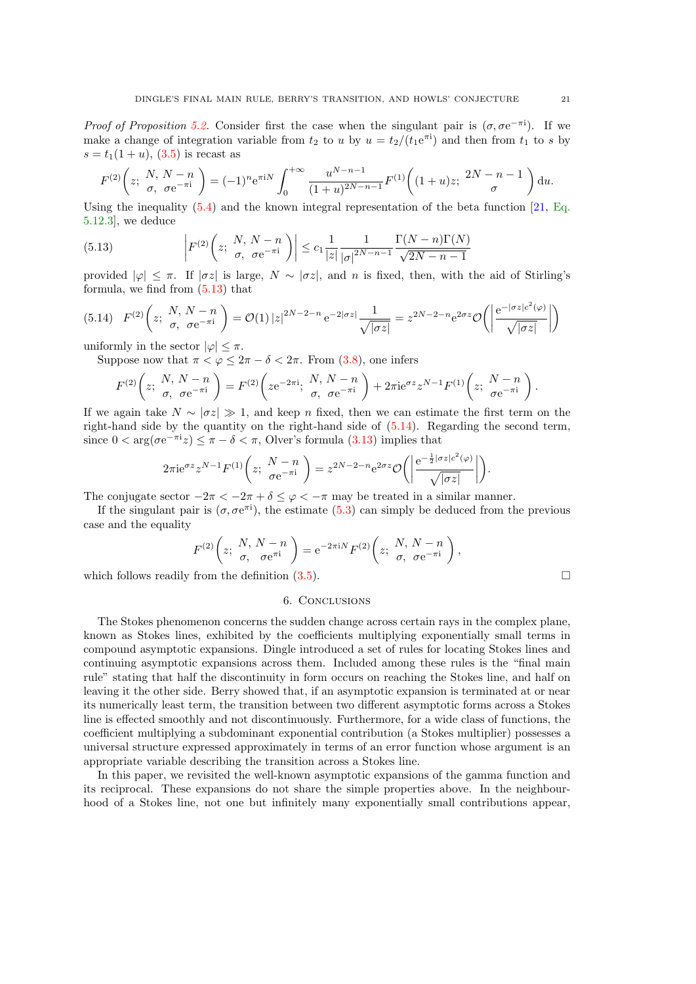<span id="page-20-0"></span>Proof of Proposition [5.2.](#page-15-0) Consider first the case when the singulant pair is  $(\sigma, \sigma e^{-\pi i})$ . If we make a change of integration variable from  $t_2$  to u by  $u = t_2/(t_1 e^{\pi i})$  and then from  $t_1$  to s by  $s = t_1(1 + u)$ , [\(3.5\)](#page-6-0) is recast as

$$
F^{(2)}\left(z;\ \frac{N}{\sigma},\ \frac{N-n}{\sigma e^{-\pi i}}\right) = (-1)^n e^{\pi i N} \int_0^{+\infty} \frac{u^{N-n-1}}{(1+u)^{2N-n-1}} F^{(1)}\left((1+u)z;\ \frac{2N-n-1}{\sigma}\right) \mathrm{d}u.
$$

Using the inequality  $(5.4)$  and the known integral representation of the beta function  $[21, Eq.]$  $[21, Eq.]$  $[21, Eq.]$ [5.12.3\]](https://dlmf.nist.gov/5.12.E3), we deduce

(5.13) 
$$
\left| F^{(2)}\left(z; \begin{array}{c}N, N-n \\ \sigma, \ \sigma e^{-\pi i} \end{array}\right) \right| \leq c_1 \frac{1}{|z|} \frac{1}{|\sigma|^{2N-n-1}} \frac{\Gamma(N-n)\Gamma(N)}{\sqrt{2N-n-1}}
$$

provided  $|\varphi| \leq \pi$ . If  $|\sigma z|$  is large,  $N \sim |\sigma z|$ , and n is fixed, then, with the aid of Stirling's formula, we find from (5.13) that

$$
(5.14) \quad F^{(2)}\left(z;\ \frac{N,\ N-n}{\sigma,\ \sigma e^{-\pi i}}\right) = \mathcal{O}(1) \left|z\right|^{2N-2-n} e^{-2|\sigma z|} \frac{1}{\sqrt{|\sigma z|}} = z^{2N-2-n} e^{2\sigma z} \mathcal{O}\left(\left|\frac{e^{-|\sigma z|c^2(\varphi)}}{\sqrt{|\sigma z|}}\right|\right)
$$

uniformly in the sector  $|\varphi| < \pi$ .

Suppose now that  $\pi < \varphi \leq 2\pi - \delta < 2\pi$ . From [\(3.8\)](#page-7-0), one infers

$$
F^{(2)}\left(z;\begin{array}{cc}N,\ N-n\\ \sigma,&\sigma e^{-\pi i}\end{array}\right)=F^{(2)}\left(ze^{-2\pi i};\begin{array}{cc}N,\ N-n\\ \sigma,&\sigma e^{-\pi i}\end{array}\right)+2\pi ie^{\sigma z}z^{N-1}F^{(1)}\left(z;\begin{array}{cc}N-n\\ \sigma e^{-\pi i}\end{array}\right).
$$

If we again take  $N \sim |\sigma z| \gg 1$ , and keep n fixed, then we can estimate the first term on the right-hand side by the quantity on the right-hand side of (5.14). Regarding the second term, since  $0 < \arg(\sigma e^{-\pi i} z) \leq \pi - \delta < \pi$ , Olver's formula [\(3.13\)](#page-8-0) implies that

$$
2\pi i e^{\sigma z} z^{N-1} F^{(1)}\left(z; \frac{N-n}{\sigma e^{-\pi i}}\right) = z^{2N-2-n} e^{2\sigma z} \mathcal{O}\left(\left|\frac{e^{-\frac{1}{2}|\sigma z| c^2(\varphi)}}{\sqrt{|\sigma z|}}\right|\right).
$$

The conjugate sector  $-2\pi < -2\pi + \delta \leq \varphi < -\pi$  may be treated in a similar manner.

If the singulant pair is  $(\sigma, \sigma e^{\pi i})$ , the estimate [\(5.3\)](#page-15-0) can simply be deduced from the previous case and the equality

$$
F^{(2)}\left(z;\begin{array}{l}N,\,N-n\\ \sigma,\quad\sigma e^{\pi i}\end{array}\right)=e^{-2\pi iN}F^{(2)}\left(z;\begin{array}{l}N,\,N-n\\ \sigma,\quad\sigma e^{-\pi i}\end{array}\right),
$$

which follows readily from the definition  $(3.5)$ .

#### 6. Conclusions

The Stokes phenomenon concerns the sudden change across certain rays in the complex plane, known as Stokes lines, exhibited by the coefficients multiplying exponentially small terms in compound asymptotic expansions. Dingle introduced a set of rules for locating Stokes lines and continuing asymptotic expansions across them. Included among these rules is the "final main rule" stating that half the discontinuity in form occurs on reaching the Stokes line, and half on leaving it the other side. Berry showed that, if an asymptotic expansion is terminated at or near its numerically least term, the transition between two different asymptotic forms across a Stokes line is effected smoothly and not discontinuously. Furthermore, for a wide class of functions, the coefficient multiplying a subdominant exponential contribution (a Stokes multiplier) possesses a universal structure expressed approximately in terms of an error function whose argument is an appropriate variable describing the transition across a Stokes line.

In this paper, we revisited the well-known asymptotic expansions of the gamma function and its reciprocal. These expansions do not share the simple properties above. In the neighbourhood of a Stokes line, not one but infinitely many exponentially small contributions appear,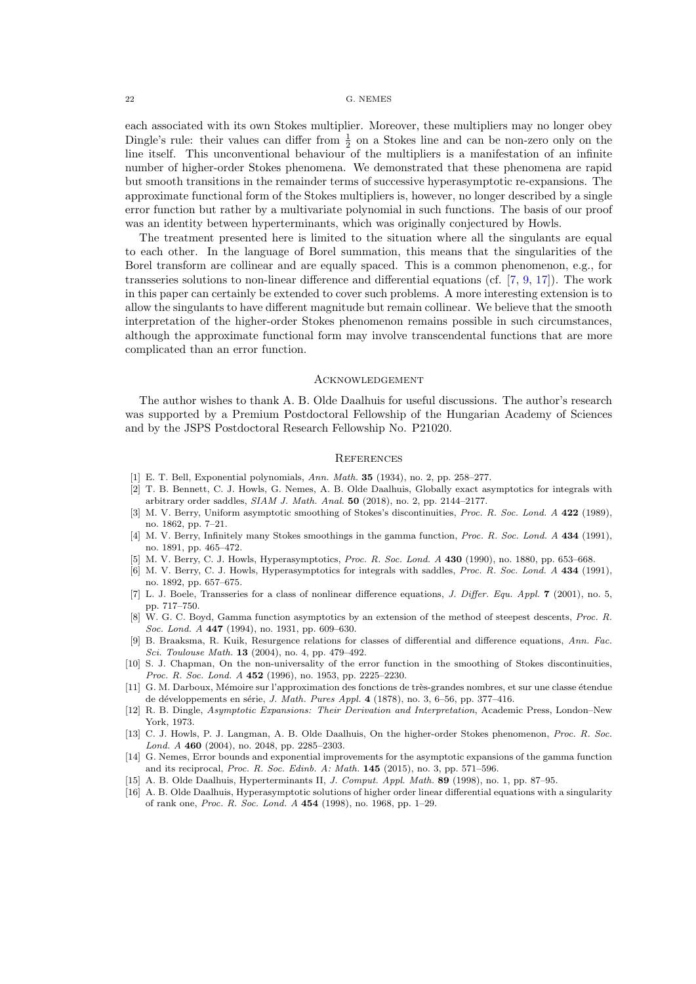<span id="page-21-0"></span>each associated with its own Stokes multiplier. Moreover, these multipliers may no longer obey Dingle's rule: their values can differ from  $\frac{1}{2}$  on a Stokes line and can be non-zero only on the line itself. This unconventional behaviour of the multipliers is a manifestation of an infinite number of higher-order Stokes phenomena. We demonstrated that these phenomena are rapid but smooth transitions in the remainder terms of successive hyperasymptotic re-expansions. The approximate functional form of the Stokes multipliers is, however, no longer described by a single error function but rather by a multivariate polynomial in such functions. The basis of our proof was an identity between hyperterminants, which was originally conjectured by Howls.

The treatment presented here is limited to the situation where all the singulants are equal to each other. In the language of Borel summation, this means that the singularities of the Borel transform are collinear and are equally spaced. This is a common phenomenon, e.g., for transseries solutions to non-linear difference and differential equations (cf. [7, 9, [17\]](#page-22-0)). The work in this paper can certainly be extended to cover such problems. A more interesting extension is to allow the singulants to have different magnitude but remain collinear. We believe that the smooth interpretation of the higher-order Stokes phenomenon remains possible in such circumstances, although the approximate functional form may involve transcendental functions that are more complicated than an error function.

#### **ACKNOWLEDGEMENT**

The author wishes to thank A. B. Olde Daalhuis for useful discussions. The author's research was supported by a Premium Postdoctoral Fellowship of the Hungarian Academy of Sciences and by the JSPS Postdoctoral Research Fellowship No. P21020.

#### **REFERENCES**

- [1] E. T. Bell, Exponential polynomials, Ann. Math. 35 (1934), no. 2, pp. 258–277.
- [2] T. B. Bennett, C. J. Howls, G. Nemes, A. B. Olde Daalhuis, Globally exact asymptotics for integrals with arbitrary order saddles,  $SIAM$  J. Math. Anal.  $50$  (2018), no. 2, pp. 2144–2177.
- [3] M. V. Berry, Uniform asymptotic smoothing of Stokes's discontinuities, Proc. R. Soc. Lond. A 422 (1989), no. 1862, pp. 7–21.
- [4] M. V. Berry, Infinitely many Stokes smoothings in the gamma function, Proc. R. Soc. Lond. A 434 (1991), no. 1891, pp. 465–472.
- [5] M. V. Berry, C. J. Howls, Hyperasymptotics, Proc. R. Soc. Lond. A 430 (1990), no. 1880, pp. 653–668.
- [6] M. V. Berry, C. J. Howls, Hyperasymptotics for integrals with saddles, Proc. R. Soc. Lond. A 434 (1991), no. 1892, pp. 657–675.
- [7] L. J. Boele, Transseries for a class of nonlinear difference equations, J. Differ. Equ. Appl. 7 (2001), no. 5, pp. 717–750.
- [8] W. G. C. Boyd, Gamma function asymptotics by an extension of the method of steepest descents, Proc. R. Soc. Lond. A 447 (1994), no. 1931, pp. 609–630.
- [9] B. Braaksma, R. Kuik, Resurgence relations for classes of differential and difference equations, Ann. Fac. Sci. Toulouse Math. **13** (2004), no. 4, pp. 479-492.
- [10] S. J. Chapman, On the non-universality of the error function in the smoothing of Stokes discontinuities, Proc. R. Soc. Lond. A 452 (1996), no. 1953, pp. 2225-2230.
- [11] G. M. Darboux, Mémoire sur l'approximation des fonctions de très-grandes nombres, et sur une classe étendue de développements en série, *J. Math. Pures Appl.* 4 (1878), no. 3, 6–56, pp. 377–416.
- [12] R. B. Dingle, Asymptotic Expansions: Their Derivation and Interpretation, Academic Press, London–New York, 1973.
- [13] C. J. Howls, P. J. Langman, A. B. Olde Daalhuis, On the higher-order Stokes phenomenon, Proc. R. Soc. Lond. A 460 (2004), no. 2048, pp. 2285–2303.
- [14] G. Nemes, Error bounds and exponential improvements for the asymptotic expansions of the gamma function and its reciprocal, Proc. R. Soc. Edinb. A: Math. 145 (2015), no. 3, pp. 571–596.
- [15] A. B. Olde Daalhuis, Hyperterminants II, J. Comput. Appl. Math. 89 (1998), no. 1, pp. 87–95.
- [16] A. B. Olde Daalhuis, Hyperasymptotic solutions of higher order linear differential equations with a singularity of rank one, Proc. R. Soc. Lond. A 454 (1998), no. 1968, pp. 1–29.